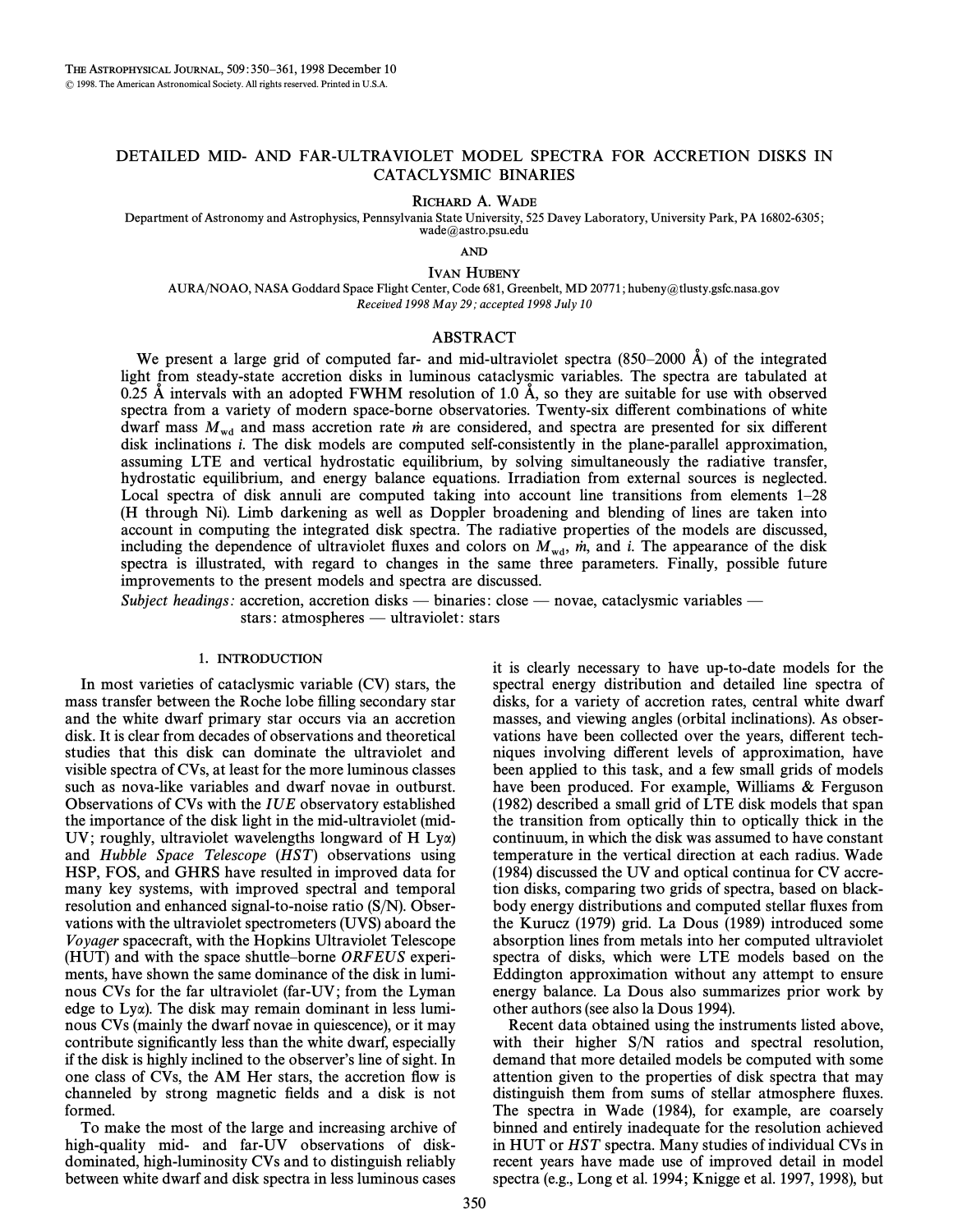# DETAILED MID- AND FAR-ULTRAVIOLET MODEL SPECTRA FOR ACCRETION DISKS IN CATACLYSMIC BINARIES

RICHARD A. WADE

Department of Astronomy and Astrophysics, Pennsylvania State University, 525 Davey Laboratory, University Park, PA 16802-6305; wade@astro.psu.edu

AND

IVAN HUBENY

AURA/NOAO, NASA Goddard Space Flight Center, Code 681, Greenbelt, MD 20771; hubeny@tlusty.gsfc.nasa.gov Received 1998 May 29; accepted 1998 July 10

# ABSTRACT

We present a large grid of computed far- and mid-ultraviolet spectra  $(850-2000 \text{ Å})$  of the integrated light from steady-state accretion disks in luminous cataclysmic variables. The spectra are tabulated at 0.25 Å intervals with an adopted FWHM resolution of 1.0 Å, so they are suitable for use with observed spectra from a variety of modern space-borne observatories. Twenty-six different combinations of white dwarf mass  $M_{\text{wd}}$  and mass accretion rate m are considered, and spectra are presented for six different disk inclinations i. The disk models are computed self-consistently in the plane-parallel approximation, assuming LTE and vertical hydrostatic equilibrium, by solving simultaneously the radiative transfer, hydrostatic equilibrium, and energy balance equations. Irradiation from external sources is neglected. Local spectra of disk annuli are computed taking into account line transitions from elements  $1-28$ (H through Ni). Limb darkening as well as Doppler broadening and blending of lines are taken into account in computing the integrated disk spectra. The radiative properties of the models are discussed, including the dependence of ultraviolet fluxes and colors on  $M_{wd}$ ,  $\dot{m}$ , and i. The appearance of the disk spectra is illustrated, with regard to changes in the same three parameters. Finally, possible future improvements to the present models and spectra are discussed.

Subject headings: accretion, accretion disks — binaries: close — novae, cataclysmic variables stars: atmospheres — ultraviolet: stars

## 1. INTRODUCTION

In most varieties of cataclysmic variable (CV) stars, the mass transfer between the Roche lobe filling secondary star and the white dwarf primary star occurs via an accretion disk. It is clear from decades of observations and theoretical studies that this disk can dominate the ultraviolet and visible spectra of CVs, at least for the more luminous classes such as nova-like variables and dwarf novae in outburst. Observations of CVs with the IUE observatory established the importance of the disk light in the mid-ultraviolet (mid-UV; roughly, ultraviolet wavelengths longward of H Lya) and Hubble Space Telescope (HST) observations using HSP, FOS, and GHRS have resulted in improved data for many key systems, with improved spectral and temporal resolution and enhanced signal-to-noise ratio (S/N). Observations with the ultraviolet spectrometers (UVS) aboard the Voyager spacecraft, with the Hopkins Ultraviolet Telescope (HUT) and with the space shuttle–borne  $ORFEUS$  experiments, have shown the same dominance of the disk in luminous CVs for the far ultraviolet (far-UV; from the Lyman edge to Ly*a*). The disk may remain dominant in less luminous CVs (mainly the dwarf novae in quiescence), or it may contribute significantly less than the white dwarf, especially if the disk is highly inclined to the observer's line of sight. In one class of CVs, the AM Her stars, the accretion flow is channeled by strong magnetic fields and a disk is not formed.

To make the most of the large and increasing archive of high-quality mid- and far-UV observations of diskdominated, high-luminosity CVs and to distinguish reliably between white dwarf and disk spectra in less luminous cases it is clearly necessary to have up-to-date models for the spectral energy distribution and detailed line spectra of disks, for a variety of accretion rates, central white dwarf masses, and viewing angles (orbital inclinations). As observations have been collected over the years, different techniques involving different levels of approximation, have been applied to this task, and a few small grids of models have been produced. For example, Williams  $&$  Ferguson (1982) described a small grid of LTE disk models that span the transition from optically thin to optically thick in the continuum, in which the disk was assumed to have constant temperature in the vertical direction at each radius. Wade (1984) discussed the UV and optical continua for CV accretion disks, comparing two grids of spectra, based on blackbody energy distributions and computed stellar fluxes from the Kurucz  $(1979)$  grid. La Dous  $(1989)$  introduced some absorption lines from metals into her computed ultraviolet spectra of disks, which were LTE models based on the Eddington approximation without any attempt to ensure energy balance. La Dous also summarizes prior work by other authors (see also la Dous 1994).

Recent data obtained using the instruments listed above, with their higher S/N ratios and spectral resolution, demand that more detailed models be computed with some attention given to the properties of disk spectra that may distinguish them from sums of stellar atmosphere Ñuxes. The spectra in Wade (1984), for example, are coarsely binned and entirely inadequate for the resolution achieved in HUT or HST spectra. Many studies of individual CVs in recent years have made use of improved detail in model spectra (e.g., Long et al. 1994; Knigge et al. 1997, 1998), but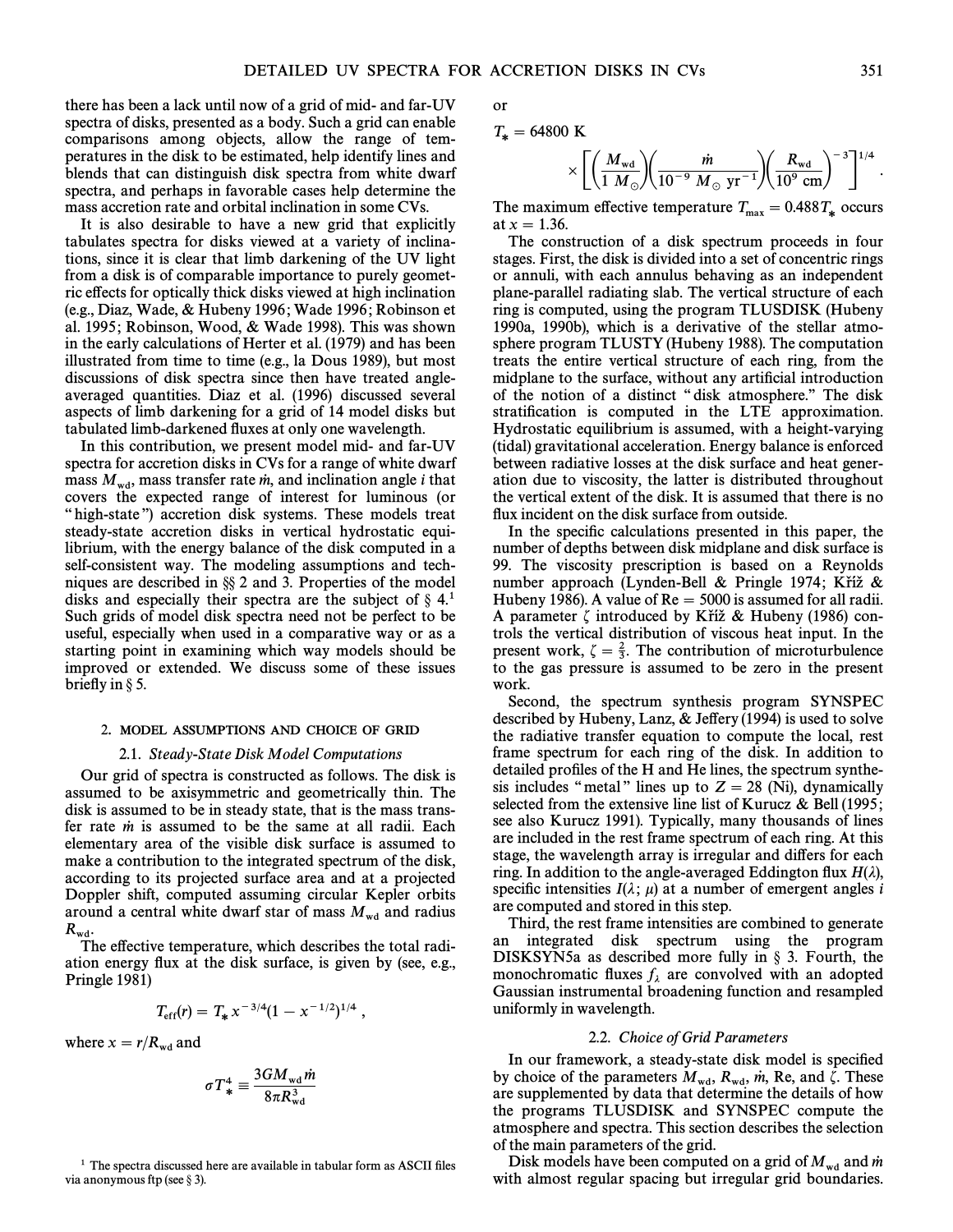there has been a lack until now of a grid of mid- and far-UV spectra of disks, presented as a body. Such a grid can enable comparisons among objects, allow the range of temperatures in the disk to be estimated, help identify lines and blends that can distinguish disk spectra from white dwarf spectra, and perhaps in favorable cases help determine the mass accretion rate and orbital inclination in some CVs.

It is also desirable to have a new grid that explicitly tabulates spectra for disks viewed at a variety of inclinations, since it is clear that limb darkening of the UV light from a disk is of comparable importance to purely geometric effects for optically thick disks viewed at high inclination (e.g., Diaz, Wade,  $& Hubeny$  1996; Wade 1996; Robinson et al. 1995; Robinson, Wood, & Wade 1998). This was shown in the early calculations of Herter et al. (1979) and has been illustrated from time to time (e.g., la Dous 1989), but most discussions of disk spectra since then have treated angleaveraged quantities. Diaz et al. (1996) discussed several aspects of limb darkening for a grid of 14 model disks but tabulated limb-darkened Ñuxes at only one wavelength.

In this contribution, we present model mid- and far-UV spectra for accretion disks in CVs for a range of white dwarf mass  $M_{\text{wd}}$ , mass transfer rate *m*, and inclination angle *i* that covers the expected range of interest for luminous (or "high-state") accretion disk systems. These models treat steady-state accretion disks in vertical hydrostatic equilibrium, with the energy balance of the disk computed in a self-consistent way. The modeling assumptions and techniques are described in  $\S$  2 and 3. Properties of the model disks and especially their spectra are the subject of  $\S$  4.<sup>1</sup> Such grids of model disk spectra need not be perfect to be useful, especially when used in a comparative way or as a starting point in examining which way models should be improved or extended. We discuss some of these issues briefly in  $\S$  5.

### 2. MODEL ASSUMPTIONS AND CHOICE OF GRID

#### 2.1. Steady-State Disk Model Computations

Our grid of spectra is constructed as follows. The disk is assumed to be axisymmetric and geometrically thin. The disk is assumed to be in steady state, that is the mass transfer rate  $\dot{m}$  is assumed to be the same at all radii. Each elementary area of the visible disk surface is assumed to make a contribution to the integrated spectrum of the disk, according to its projected surface area and at a projected Doppler shift, computed assuming circular Kepler orbits around a central white dwarf star of mass  $M_{\text{wd}}$  and radius  $R_{\text{wd}}$ .<br>The effective temperature, which describes the total radi-

ation energy Ñux at the disk surface, is given by (see, e.g., Pringle 1981)

$$
T_{\rm eff}(r) = T_* x^{-3/4} (1 - x^{-1/2})^{1/4} ,
$$

where  $x = r/R_{\rm wd}$  and

$$
\sigma T_*^4 \equiv \frac{3GM_{\rm wd}\dot{m}}{8\pi R_{\rm wd}^3}
$$

 $1$  The spectra discussed here are available in tabular form as ASCII files via anonymous ftp (see  $\S 3$ ).

or

$$
T_* = 64800 \text{ K}
$$

$$
\times \left[ \left( \frac{M_{\rm wd}}{1~M_{\odot}} \right) \left( \frac{\dot{m}}{10^{-9}~M_{\odot}~{\rm yr}^{-1}} \right) \left( \frac{R_{\rm wd}}{10^{9}~{\rm cm}} \right)^{-3} \right]^{1/4}.
$$

The maximum effective temperature  $T_{\text{max}} = 0.488 T_*$  occurs at  $x = 1.36$ .

The construction of a disk spectrum proceeds in four stages. First, the disk is divided into a set of concentric rings or annuli, with each annulus behaving as an independent plane-parallel radiating slab. The vertical structure of each ring is computed, using the program TLUSDISK (Hubeny 1990a, 1990b), which is a derivative of the stellar atmosphere program TLUSTY (Hubeny 1988). The computation treats the entire vertical structure of each ring, from the midplane to the surface, without any artificial introduction of the notion of a distinct "disk atmosphere." The disk stratification is computed in the LTE approximation. Hydrostatic equilibrium is assumed, with a height-varying (tidal) gravitational acceleration. Energy balance is enforced between radiative losses at the disk surface and heat generation due to viscosity, the latter is distributed throughout the vertical extent of the disk. It is assumed that there is no flux incident on the disk surface from outside.

In the specific calculations presented in this paper, the number of depths between disk midplane and disk surface is 99. The viscosity prescription is based on a Reynolds number approach (Lynden-Bell & Pringle 1974; Kříž  $\&$ Hubeny 1986). A value of  $Re = 5000$  is assumed for all radii. A parameter  $\zeta$  introduced by Kříž & Hubeny (1986) controls the vertical distribution of viscous heat input. In the present work,  $\zeta = \frac{2}{3}$ . The contribution of microturbulence to the gas pressure is assumed to be zero in the present work.

Second, the spectrum synthesis program SYNSPEC described by Hubeny, Lanz, & Jeffery (1994) is used to solve the radiative transfer equation to compute the local, rest frame spectrum for each ring of the disk. In addition to detailed profiles of the H and He lines, the spectrum synthesis includes "metal" lines up to  $Z = 28$  (Ni), dynamically selected from the extensive line list of Kurucz  $\&$  Bell (1995; see also Kurucz 1991). Typically, many thousands of lines are included in the rest frame spectrum of each ring. At this stage, the wavelength array is irregular and differs for each ring. In addition to the angle-averaged Eddington flux  $H(\lambda)$ , specific intensities  $I(\lambda; \mu)$  at a number of emergent angles i are computed and stored in this step.

Third, the rest frame intensities are combined to generate an integrated disk spectrum using the program DISKSYN5a as described more fully in  $\S$  3. Fourth, the monochromatic fluxes  $f_{\lambda}$  are convolved with an adopted Gaussian instrumental broadening function and resampled uniformly in wavelength.

#### 2.2. Choice of Grid Parameters

In our framework, a steady-state disk model is specified by choice of the parameters  $M_{\text{wd}}$ ,  $R_{\text{wd}}$ ,  $\dot{m}$ , Re, and  $\zeta$ . These are supplemented by data that determine the details of how the programs TLUSDISK and SYNSPEC compute the atmosphere and spectra. This section describes the selection of the main parameters of the grid.

Disk models have been computed on a grid of  $M_{\text{wd}}$  and m with almost regular spacing but irregular grid boundaries.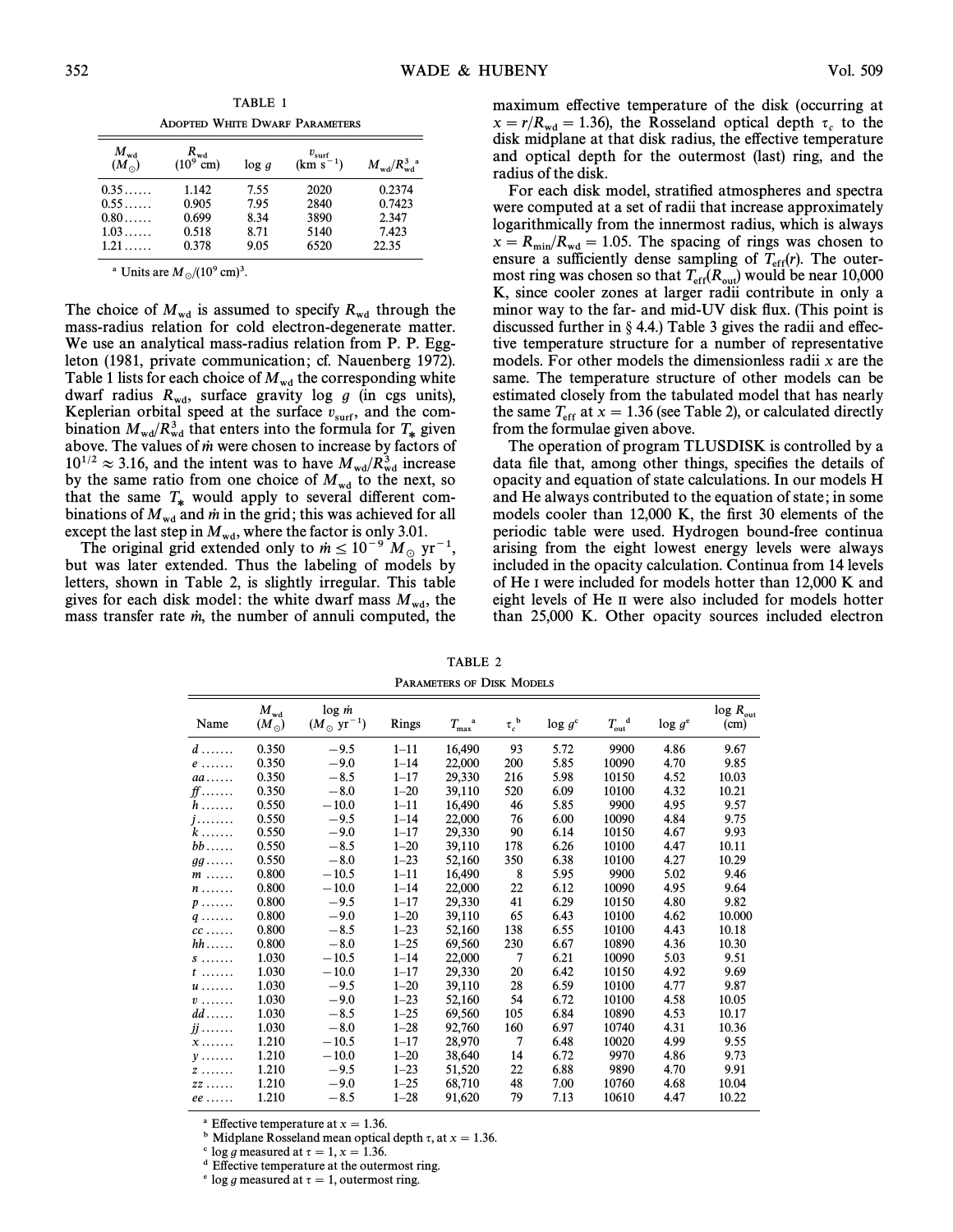TABLE 1 ADOPTED WHITE DWARF PARAMETERS

| $M_{\rm wd}$<br>$(M_{\odot})$ | $R_{\rm wd}$<br>$(10^9 \text{ cm})$ | log q | $v_{\rm surf}$<br>$(km s^{-1})$ | $M_{\rm wd}/R_{\rm wd}^3$ <sup>a</sup> |
|-------------------------------|-------------------------------------|-------|---------------------------------|----------------------------------------|
| 0.35                          | 1.142                               | 7.55  | 2020                            | 0.2374                                 |
| 0.55                          | 0.905                               | 7.95  | 2840                            | 0.7423                                 |
| $0.80\dots$                   | 0.699                               | 8.34  | 3890                            | 2.347                                  |
| 1.03                          | 0.518                               | 8.71  | 5140                            | 7.423                                  |
| $1.21\dots$                   | 0.378                               | 9.05  | 6520                            | 22.35                                  |

<sup>a</sup> Units are  $M_{\odot}/(10^9 \text{ cm})^3$ .

The choice of  $M_{wd}$  is assumed to specify  $R_{wd}$  through the mass-radius relation for cold electron-degenerate matter. We use an analytical mass-radius relation from P. P. Eggleton (1981, private communication; cf. Nauenberg 1972). Table 1 lists for each choice of  $M_{\text{wd}}$  the corresponding white dwarf radius  $R_{\text{wd}}$ , surface gravity log g (in cgs units), Keplerian orbital speed at the surface  $v_{\text{surf}}$ , and the com-<br>bination  $M/(R^3)$  that enters into the formula for  $T$  given bination  $M_{\text{wd}}/R_{\text{wd}}^3$  that enters into the formula for  $T_{\ast}$  given above. The values of  $\dot{m}$  were chosen to increase by factors of  $10^{1/2} \approx 3.16$ , and the intent was to have  $M_{\text{wd}}/R_{\text{wd}}^3$  increase by the same ratio from one choice of  $M_{\text{wd}}$  to the next, so that the same  $T_*$  would apply to several different combinations of  $M_{wd}$  and  $\dot{m}$  in the grid; this was achieved for all except the last step in  $M_{\text{wd}}$ , where the factor is only 3.01.

The original grid extended only to  $\dot{m} \le 10^{-9} M_{\odot} \text{ yr}^{-1}$ , but was later extended. Thus the labeling of models by letters, shown in Table 2, is slightly irregular. This table gives for each disk model: the white dwarf mass  $M_{wd}$ , the mass transfer rate  $\dot{m}$ , the number of annuli computed, the maximum effective temperature of the disk (occurring at  $x = r/R_{\rm wd} = 1.36$ , the Rosseland optical depth  $\tau_c$  to the disk midplane at that disk radius, the effective temperature and optical depth for the outermost (last) ring, and the radius of the disk.

For each disk model, stratified atmospheres and spectra were computed at a set of radii that increase approximately logarithmically from the innermost radius, which is always  $x = R_{\text{min}}/R_{\text{wd}} = 1.05$ . The spacing of rings was chosen to ensure a sufficiently dense sampling of  $T_{\text{eff}}(r)$ . The outer-<br>most ring was chosen so that  $T_{\text{eff}}(R)$  would be near 10,000 most ring was chosen so that  $T_{\text{eff}}(R_{\text{out}})$  would be near 10,000  $K_{\text{c}}$  since cooler zones at larger radii contribute in only a K, since cooler zones at larger radii contribute in only a minor way to the far- and mid-UV disk flux. (This point is discussed further in  $\S$  4.4.) Table 3 gives the radii and effective temperature structure for a number of representative models. For other models the dimensionless radii  $x$  are the same. The temperature structure of other models can be estimated closely from the tabulated model that has nearly the same  $T_{\text{eff}}$  at  $x = 1.36$  (see Table 2), or calculated directly from the formulae given above.

The operation of program TLUSDISK is controlled by a data file that, among other things, specifies the details of opacity and equation of state calculations. In our models H and He always contributed to the equation of state; in some models cooler than  $12,000$  K, the first 30 elements of the periodic table were used. Hydrogen bound-free continua arising from the eight lowest energy levels were always included in the opacity calculation. Continua from 14 levels of He I were included for models hotter than 12,000 K and eight levels of He II were also included for models hotter than 25,000 K. Other opacity sources included electron

TABLE 2 PARAMETERS OF DISK MODELS

| Name                            | $M_{\rm wd}$<br>$(M_{\odot})$ | $\log m$<br>$(M_{\odot} \text{ yr}^{-1})$ | Rings    | $T_{\rm max}^{\quad \  \  a}$ | $\tau_c^{\ b}$ | $\log g^{\circ}$ | $T_{\rm out}^{\quad d}$ | $\log g^e$ | $log R_{out}$<br>(cm) |
|---------------------------------|-------------------------------|-------------------------------------------|----------|-------------------------------|----------------|------------------|-------------------------|------------|-----------------------|
| $d \ldots$                      | 0.350                         | $-9.5$                                    | $1 - 11$ | 16,490                        | 93             | 5.72             | 9900                    | 4.86       | 9.67                  |
| $e \ldots \ldots$               | 0.350                         | $-9.0$                                    | $1 - 14$ | 22,000                        | 200            | 5.85             | 10090                   | 4.70       | 9.85                  |
| $aa \ldots$                     | 0.350                         | $-8.5$                                    | $1 - 17$ | 29,330                        | 216            | 5.98             | 10150                   | 4.52       | 10.03                 |
| $f\hspace{-0.1cm}f\ldots\ldots$ | 0.350                         | $-8.0$                                    | $1 - 20$ | 39,110                        | 520            | 6.09             | 10100                   | 4.32       | 10.21                 |
| $h$                             | 0.550                         | $-10.0$                                   | $1 - 11$ | 16,490                        | 46             | 5.85             | 9900                    | 4.95       | 9.57                  |
| $j$                             | 0.550                         | $-9.5$                                    | $1 - 14$ | 22,000                        | 76             | 6.00             | 10090                   | 4.84       | 9.75                  |
| $k$                             | 0.550                         | $-9.0$                                    | $1 - 17$ | 29,330                        | 90             | 6.14             | 10150                   | 4.67       | 9.93                  |
| $bb \ldots$ .                   | 0.550                         | $-8.5$                                    | $1 - 20$ | 39,110                        | 178            | 6.26             | 10100                   | 4.47       | 10.11                 |
| $gg \ldots$                     | 0.550                         | $-8.0$                                    | $1 - 23$ | 52,160                        | 350            | 6.38             | 10100                   | 4.27       | 10.29                 |
| $m$                             | 0.800                         | $-10.5$                                   | $1 - 11$ | 16,490                        | 8              | 5.95             | 9900                    | 5.02       | 9.46                  |
| $n$                             | 0.800                         | $-10.0$                                   | $1 - 14$ | 22,000                        | 22             | 6.12             | 10090                   | 4.95       | 9.64                  |
| $p \ldots$                      | 0.800                         | $-9.5$                                    | $1 - 17$ | 29,330                        | 41             | 6.29             | 10150                   | 4.80       | 9.82                  |
| $q \ldots \ldots$               | 0.800                         | $-9.0$                                    | $1 - 20$ | 39,110                        | 65             | 6.43             | 10100                   | 4.62       | 10.000                |
| $cc \ldots$                     | 0.800                         | $-8.5$                                    | $1 - 23$ | 52,160                        | 138            | 6.55             | 10100                   | 4.43       | 10.18                 |
| $hh$                            | 0.800                         | $-8.0$                                    | $1 - 25$ | 69,560                        | 230            | 6.67             | 10890                   | 4.36       | 10.30                 |
| $S$                             | 1.030                         | $-10.5$                                   | $1 - 14$ | 22,000                        | 7              | 6.21             | 10090                   | 5.03       | 9.51                  |
| $t$                             | 1.030                         | $-10.0$                                   | $1 - 17$ | 29,330                        | 20             | 6.42             | 10150                   | 4.92       | 9.69                  |
| $u \dots \dots$                 | 1.030                         | $-9.5$                                    | $1 - 20$ | 39,110                        | 28             | 6.59             | 10100                   | 4.77       | 9.87                  |
| $v \ldots \ldots$               | 1.030                         | $-9.0$                                    | $1 - 23$ | 52,160                        | 54             | 6.72             | 10100                   | 4.58       | 10.05                 |
| $dd \dots$                      | 1.030                         | $-8.5$                                    | $1 - 25$ | 69,560                        | 105            | 6.84             | 10890                   | 4.53       | 10.17                 |
| $jj \ldots \ldots$              | 1.030                         | $-8.0$                                    | $1 - 28$ | 92,760                        | 160            | 6.97             | 10740                   | 4.31       | 10.36                 |
| $x \ldots \ldots$               | 1.210                         | $-10.5$                                   | $1 - 17$ | 28,970                        | $\overline{7}$ | 6.48             | 10020                   | 4.99       | 9.55                  |
| $v \ldots$                      | 1.210                         | $-10.0$                                   | $1 - 20$ | 38,640                        | 14             | 6.72             | 9970                    | 4.86       | 9.73                  |
| $Z$                             | 1.210                         | $-9.5$                                    | $1 - 23$ | 51,520                        | 22             | 6.88             | 9890                    | 4.70       | 9.91                  |
| $ZZ \ldots \ldots$              | 1.210                         | $-9.0$                                    | $1 - 25$ | 68,710                        | 48             | 7.00             | 10760                   | 4.68       | 10.04                 |
| $ee \ldots$                     | 1.210                         | $-8.5$                                    | $1 - 28$ | 91,620                        | 79             | 7.13             | 10610                   | 4.47       | 10.22                 |
|                                 |                               |                                           |          |                               |                |                  |                         |            |                       |

<sup>a</sup> Effective temperature at  $x = 1.36$ .

<sup>b</sup> Midplane Rosseland mean optical depth  $\tau$ , at  $x = 1.36$ .

 $\textdegree$  log g measured at  $\tau = 1, x = 1.36$ .

<sup>d</sup> Effective temperature at the outermost ring.

 $e$  log g measured at  $\tau = 1$ , outermost ring.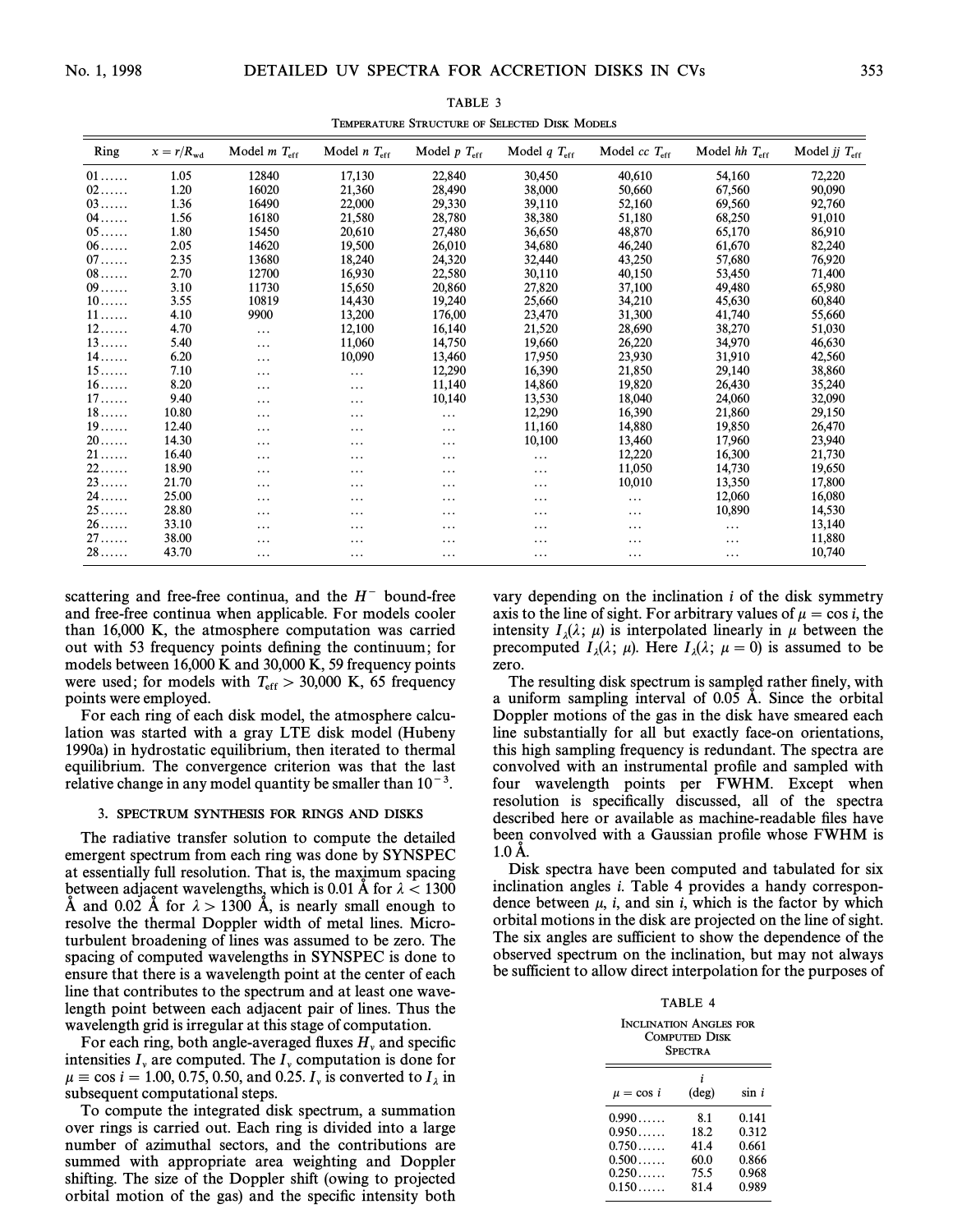| Ring             | $x=r/R_{\rm wd}$ | Model $m T_{\text{eff}}$ | Model $n$ $T_{\text{eff}}$ | Model $p T_{\text{eff}}$ | Model $qT_{\text{eff}}$ | Model $cc$ $T_{\text{eff}}$ | Model $hh$ $T_{\text{eff}}$ | Model jj $T_{\text{eff}}$ |
|------------------|------------------|--------------------------|----------------------------|--------------------------|-------------------------|-----------------------------|-----------------------------|---------------------------|
| $01 \ldots$      | 1.05             | 12840                    | 17,130                     | 22,840                   | 30,450                  | 40,610                      | 54,160                      | 72,220                    |
| $02\ldots$       | 1.20             | 16020                    | 21,360                     | 28,490                   | 38,000                  | 50,660                      | 67,560                      | 90,090                    |
| $03$             | 1.36             | 16490                    | 22,000                     | 29,330                   | 39,110                  | 52,160                      | 69,560                      | 92,760                    |
| $04$             | 1.56             | 16180                    | 21,580                     | 28,780                   | 38,380                  | 51,180                      | 68,250                      | 91,010                    |
| $05 \ldots$      | 1.80             | 15450                    | 20,610                     | 27,480                   | 36,650                  | 48,870                      | 65,170                      | 86,910                    |
| $06 \ldots$      | 2.05             | 14620                    | 19,500                     | 26,010                   | 34,680                  | 46,240                      | 61,670                      | 82,240                    |
| $07\ldots\ldots$ | 2.35             | 13680                    | 18,240                     | 24,320                   | 32,440                  | 43,250                      | 57,680                      | 76,920                    |
| $08\dots$        | 2.70             | 12700                    | 16,930                     | 22,580                   | 30,110                  | 40,150                      | 53,450                      | 71,400                    |
| $09 \ldots$      | 3.10             | 11730                    | 15,650                     | 20,860                   | 27,820                  | 37,100                      | 49,480                      | 65,980                    |
| $10$             | 3.55             | 10819                    | 14,430                     | 19,240                   | 25,660                  | 34,210                      | 45,630                      | 60,840                    |
| $11$             | 4.10             | 9900                     | 13,200                     | 176,00                   | 23,470                  | 31,300                      | 41,740                      | 55,660                    |
| $12 \ldots$      | 4.70             | $\cdots$                 | 12,100                     | 16,140                   | 21,520                  | 28,690                      | 38,270                      | 51,030                    |
| $13 \ldots$      | 5.40             | $\cdots$                 | 11,060                     | 14,750                   | 19,660                  | 26,220                      | 34,970                      | 46,630                    |
| $14 \ldots$      | 6.20             | $\cdots$                 | 10,090                     | 13,460                   | 17,950                  | 23,930                      | 31,910                      | 42,560                    |
| $15\dots$        | 7.10             | $\cdots$                 | $\cdots$                   | 12,290                   | 16,390                  | 21,850                      | 29,140                      | 38,860                    |
| $16\dots$        | 8.20             | $\cdots$                 | $\cdots$                   | 11,140                   | 14,860                  | 19,820                      | 26,430                      | 35,240                    |
| $17\dots$        | 9.40             | $\cdots$                 | $\cdots$                   | 10,140                   | 13,530                  | 18,040                      | 24,060                      | 32,090                    |
| $18\dots$        | 10.80            | .                        | $\cdots$                   | .                        | 12,290                  | 16,390                      | 21,860                      | 29,150                    |
| $19\dots$        | 12.40            | .                        | $\cdots$                   | .                        | 11,160                  | 14,880                      | 19,850                      | 26,470                    |
| $20 \ldots$      | 14.30            | $\cdots$                 | $\cdots$                   | .                        | 10,100                  | 13,460                      | 17,960                      | 23,940                    |
| $21 \ldots$      | 16.40            | .                        | $\cdots$                   | .                        | $\cdots$                | 12,220                      | 16,300                      | 21,730                    |
| $22 \ldots$      | 18.90            | .                        | $\cdots$                   | .                        | .                       | 11,050                      | 14,730                      | 19,650                    |
| 23               | 21.70            | .                        | $\cdots$                   | .                        | .                       | 10,010                      | 13,350                      | 17,800                    |
| $24$             | 25.00            | .                        | $\cdots$                   | .                        | .                       | .                           | 12,060                      | 16,080                    |
| $25 \ldots$      | 28.80            | $\cdots$                 | $\cdots$                   | .                        | .                       | .                           | 10,890                      | 14,530                    |
| 26               | 33.10            | $\cdots$                 | $\cdots$                   | $\cdots$                 | $\cdots$                | $\cdots$                    | $\cdots$                    | 13,140                    |
| $27\dots$        | 38.00            | .                        | $\cdots$                   | .                        | .                       | .                           | $\cdots$                    | 11,880                    |
| 28               | 43.70            | $\cdots$                 | $\cdots$                   | .                        | .                       | .                           | $\cdots$                    | 10,740                    |
|                  |                  |                          |                            |                          |                         |                             |                             |                           |

TABLE 3 TEMPERATURE STRUCTURE OF SELECTED DISK MODELS

scattering and free-free continua, and the  $H^-$  bound-free and free-free continua when applicable. For models cooler than 16,000 K, the atmosphere computation was carried out with 53 frequency points defining the continuum; for models between 16,000 K and 30,000 K, 59 frequency points were used; for models with  $T_{\text{eff}} > 30,000$  K, 65 frequency<br>points were employed points were employed.

For each ring of each disk model, the atmosphere calculation was started with a gray LTE disk model (Hubeny 1990a) in hydrostatic equilibrium, then iterated to thermal equilibrium. The convergence criterion was that the last relative change in any model quantity be smaller than  $10^{-3}$ .

# 3. SPECTRUM SYNTHESIS FOR RINGS AND DISKS

The radiative transfer solution to compute the detailed emergent spectrum from each ring was done by SYNSPEC at essentially full resolution. That is, the maximum spacing between adjacent wavelengths, which is 0.01 A for  $\lambda < 1300$ A and 0.02 A for  $\lambda > 1300$  A, is nearly small enough to resolve the thermal Doppler width of metal lines. Microturbulent broadening of lines was assumed to be zero. The spacing of computed wavelengths in SYNSPEC is done to ensure that there is a wavelength point at the center of each line that contributes to the spectrum and at least one wavelength point between each adjacent pair of lines. Thus the wavelength grid is irregular at this stage of computation.

For each ring, both angle-averaged fluxes  $H_v$  and specific intensities  $I_v$  are computed. The  $I_v$  computation is done for  $u = \cos i - 1.00 \pm 0.75 \pm 0.50$  and 0.25 I is converted to I in le cos  $i = 100, 0.75, 0.50$ , and 0.25.  $I_y$  is converted to  $I_\lambda$  in  $\mu \equiv \cos i = 100, 0.75, 0.50$ , and 0.25.  $I_y$  is converted to  $I_\lambda$  in subsequent computational steps.

To compute the integrated disk spectrum, a summation over rings is carried out. Each ring is divided into a large number of azimuthal sectors, and the contributions are summed with appropriate area weighting and Doppler shifting. The size of the Doppler shift (owing to projected orbital motion of the gas) and the specific intensity both vary depending on the inclination  $i$  of the disk symmetry axis to the line of sight. For arbitrary values of  $\mu = \cos i$ , the intensity  $I_{\lambda}(\lambda; \mu)$  is interpolated linearly in  $\mu$  between the precomputed  $I(\lambda; \mu)$ . Here  $I(\lambda; \mu = 0)$  is assumed to be precomputed  $I_{\lambda}(\lambda; \mu)$ . Here  $I_{\lambda}(\lambda; \mu = 0)$  is assumed to be zero.

The resulting disk spectrum is sampled rather finely, with a uniform sampling interval of 0.05 A. Since the orbital Doppler motions of the gas in the disk have smeared each line substantially for all but exactly face-on orientations, this high sampling frequency is redundant. The spectra are convolved with an instrumental profile and sampled with four wavelength points per FWHM. Except when resolution is specifically discussed, all of the spectra described here or available as machine-readable files have been convolved with a Gaussian profile whose FWHM is 1.0 A.

Disk spectra have been computed and tabulated for six inclination angles  $i$ . Table 4 provides a handy correspondence between  $\mu$ , i, and sin i, which is the factor by which orbital motions in the disk are projected on the line of sight. The six angles are sufficient to show the dependence of the observed spectrum on the inclination, but may not always be sufficient to allow direct interpolation for the purposes of

TABLE 4

| <b>INCLINATION ANGLES FOR</b><br><b>COMPUTED DISK</b><br><b>SPECTRA</b> |                                             |                                                    |  |  |  |
|-------------------------------------------------------------------------|---------------------------------------------|----------------------------------------------------|--|--|--|
| $\mu = \cos i$                                                          | $(\text{deg})$                              | sin i                                              |  |  |  |
| 0.990<br>0.950<br>0.750<br>0.500<br>0.250<br>0.150                      | 8.1<br>18.2<br>41.4<br>60.0<br>75.5<br>81.4 | 0.141<br>0.312<br>0.661<br>0.866<br>0.968<br>0.989 |  |  |  |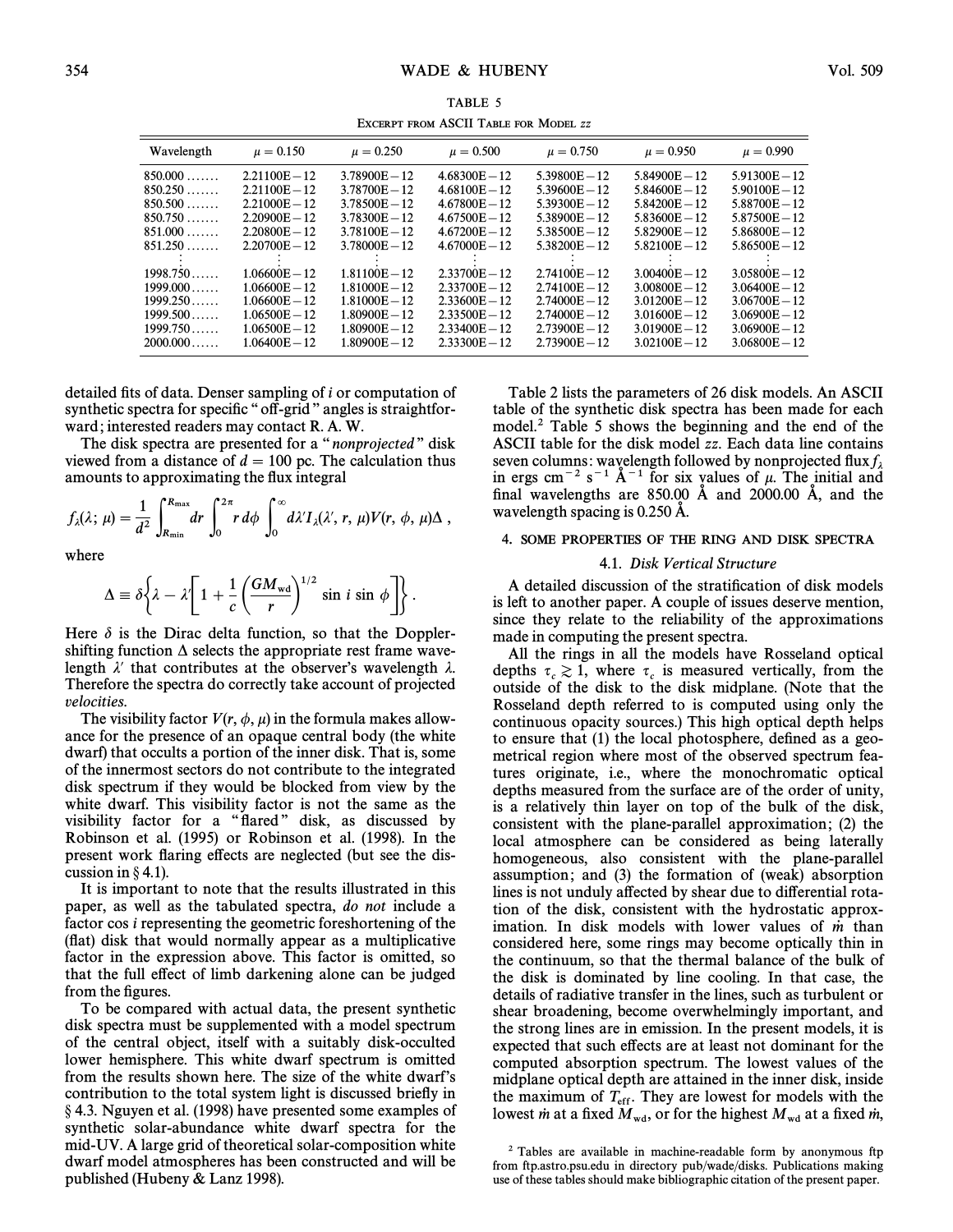| $\sim$ . The state of the state of the state of the state of the state of the state of the state of the state of the state of the state of the state of the state of the state of the state of the state of the state of the st |                 |                 |                 |                 |                 |                 |  |  |
|---------------------------------------------------------------------------------------------------------------------------------------------------------------------------------------------------------------------------------|-----------------|-----------------|-----------------|-----------------|-----------------|-----------------|--|--|
| Wavelength                                                                                                                                                                                                                      | $\mu = 0.150$   | $\mu = 0.250$   | $\mu = 0.500$   | $\mu = 0.750$   | $\mu = 0.950$   | $\mu = 0.990$   |  |  |
| $850.000$                                                                                                                                                                                                                       | $2.21100E - 12$ | $3.78900E - 12$ | $4.68300E - 12$ | $5.39800E - 12$ | $5.84900E - 12$ | $5.91300E - 12$ |  |  |
| 850.250                                                                                                                                                                                                                         | $2.21100E - 12$ | $3.78700E - 12$ | $4.68100E - 12$ | $5.39600E - 12$ | $5.84600E - 12$ | $5.90100E - 12$ |  |  |
| 850.500                                                                                                                                                                                                                         | $2.21000E - 12$ | $3.78500E - 12$ | $4.67800E - 12$ | $5.39300E - 12$ | $5.84200E - 12$ | $5.88700E - 12$ |  |  |
| 850.750                                                                                                                                                                                                                         | $2.20900E - 12$ | $3.78300E - 12$ | $4.67500E - 12$ | $5.38900E - 12$ | $5.83600E - 12$ | $5.87500E - 12$ |  |  |
| $851.000$                                                                                                                                                                                                                       | $2.20800E - 12$ | $3.78100E - 12$ | $4.67200E - 12$ | $5.38500E - 12$ | $5.82900E - 12$ | $5.86800E - 12$ |  |  |
| 851.250                                                                                                                                                                                                                         | $2.20700E - 12$ | $3.78000E - 12$ | $4.67000E - 12$ | $5.38200E - 12$ | $5.82100E - 12$ | $5.86500E - 12$ |  |  |
| 1998.750                                                                                                                                                                                                                        | $1.06600E - 12$ | $1.81100E - 12$ | $2.33700E - 12$ | $2.74100E - 12$ | $3.00400E - 12$ | $3.05800E - 12$ |  |  |
| $1999.000$                                                                                                                                                                                                                      | $1.06600E - 12$ | $1.81000E - 12$ | $2.33700E - 12$ | $2.74100E - 12$ | $3.00800E - 12$ | $3.06400E - 12$ |  |  |
| 1999.250                                                                                                                                                                                                                        | $1.06600E - 12$ | $1.81000E - 12$ | $2.33600E - 12$ | $2.74000E - 12$ | $3.01200E - 12$ | $3.06700E - 12$ |  |  |
| $1999.500\dots$                                                                                                                                                                                                                 | $1.06500E - 12$ | $1.80900E - 12$ | $2.33500E - 12$ | $2.74000E - 12$ | $3.01600E - 12$ | $3.06900E - 12$ |  |  |
| 1999.750                                                                                                                                                                                                                        | $1.06500E - 12$ | $1.80900E - 12$ | $2.33400E - 12$ | $2.73900E - 12$ | $3.01900E - 12$ | $3.06900E - 12$ |  |  |
| 2000.000                                                                                                                                                                                                                        | $1.06400E - 12$ | $1.80900E - 12$ | $2.33300E - 12$ | $2.73900E - 12$ | $3.02100E - 12$ | $3.06800E - 12$ |  |  |

TABLE 5 EXCERPT FROM ASCII TABLE FOR MODEL **zz** 

detailed fits of data. Denser sampling of  $i$  or computation of synthetic spectra for specific "off-grid" angles is straightforward; interested readers may contact R. A. W.

The disk spectra are presented for a "nonprojected" disk viewed from a distance of  $d = 100$  pc. The calculation thus

amounts to approximating the flux integral  
\n
$$
f_{\lambda}(\lambda; \mu) = \frac{1}{d^2} \int_{R_{\min}}^{R_{\max}} dr \int_0^{2\pi} r d\phi \int_0^{\infty} d\lambda' I_{\lambda}(\lambda', r, \mu) V(r, \phi, \mu) \Delta,
$$

where

$$
\Delta \equiv \delta \bigg\{ \lambda - \lambda' \bigg[ 1 + \frac{1}{c} \left( \frac{GM_{\text{wd}}}{r} \right)^{1/2} \sin i \sin \phi \bigg] \bigg\} .
$$

Here  $\delta$  is the Dirac delta function, so that the Dopplershifting function  $\Delta$  selects the appropriate rest frame wavelength  $\lambda'$  that contributes at the observer's wavelength  $\lambda$ . Therefore the spectra do correctly take account of projected velocities.

The visibility factor  $V(r, \phi, \mu)$  in the formula makes allowance for the presence of an opaque central body (the white dwarf) that occults a portion of the inner disk. That is, some of the innermost sectors do not contribute to the integrated disk spectrum if they would be blocked from view by the white dwarf. This visibility factor is not the same as the visibility factor for a "flared" disk, as discussed by Robinson et al. (1995) or Robinson et al. (1998). In the present work flaring effects are neglected (but see the discussion in  $\S$  4.1).

It is important to note that the results illustrated in this paper, as well as the tabulated spectra, do not include a factor cos i representing the geometric foreshortening of the (Ñat) disk that would normally appear as a multiplicative factor in the expression above. This factor is omitted, so that the full effect of limb darkening alone can be judged from the figures.

To be compared with actual data, the present synthetic disk spectra must be supplemented with a model spectrum of the central object, itself with a suitably disk-occulted lower hemisphere. This white dwarf spectrum is omitted from the results shown here. The size of the white dwarf's contribution to the total system light is discussed briefly in § 4.3. Nguyen et al. (1998) have presented some examples of synthetic solar-abundance white dwarf spectra for the mid-UV. A large grid of theoretical solar-composition white dwarf model atmospheres has been constructed and will be published (Hubeny  $&$  Lanz 1998).

Table 2 lists the parameters of 26 disk models. An ASCII table of the synthetic disk spectra has been made for each model.2 Table 5 shows the beginning and the end of the ASCII table for the disk model zz. Each data line contains seven columns: wavelength followed by nonprojected flux  $f_{\lambda}$ in ergs cm<sup>-2</sup> s<sup>-1</sup> Å<sup>-1</sup> for six values of  $\mu$ . The initial and final wavelengths are  $850.00$  Å and  $2000.00$  Å, and the wavelength spacing is 0.250 A.

# 4. SOME PROPERTIES OF THE RING AND DISK SPECTRA

# 4.1. Disk Vertical Structure

A detailed discussion of the stratification of disk models is left to another paper. A couple of issues deserve mention, since they relate to the reliability of the approximations made in computing the present spectra.

All the rings in all the models have Rosseland optical depths  $\tau_c \geq 1$ , where  $\tau_c$  is measured vertically, from the coupling  $c_c \gtrsim 1$ , where  $c_c$  is measured vertically, from the outside of the disk to the disk midplane. (Note that the Rosseland depth referred to is computed using only the continuous opacity sources.) This high optical depth helps to ensure that (1) the local photosphere, defined as a geometrical region where most of the observed spectrum features originate, i.e., where the monochromatic optical depths measured from the surface are of the order of unity, is a relatively thin layer on top of the bulk of the disk, consistent with the plane-parallel approximation; (2) the local atmosphere can be considered as being laterally homogeneous, also consistent with the plane-parallel assumption; and (3) the formation of (weak) absorption lines is not unduly affected by shear due to differential rotation of the disk, consistent with the hydrostatic approximation. In disk models with lower values of  $\dot{m}$  than considered here, some rings may become optically thin in the continuum, so that the thermal balance of the bulk of the disk is dominated by line cooling. In that case, the details of radiative transfer in the lines, such as turbulent or shear broadening, become overwhelmingly important, and the strong lines are in emission. In the present models, it is expected that such effects are at least not dominant for the computed absorption spectrum. The lowest values of the midplane optical depth are attained in the inner disk, inside the maximum of  $T_{\text{eff}}$ . They are lowest for models with the Theorem is the Theorem at a fixed in lowest *in* at a fixed  $M_{wd}$ , or for the highest  $M_{wd}$  at a fixed *in*,

<sup>2</sup> Tables are available in machine-readable form by anonymous ftp from ftp.astro.psu.edu in directory pub/wade/disks. Publications making use of these tables should make bibliographic citation of the present paper.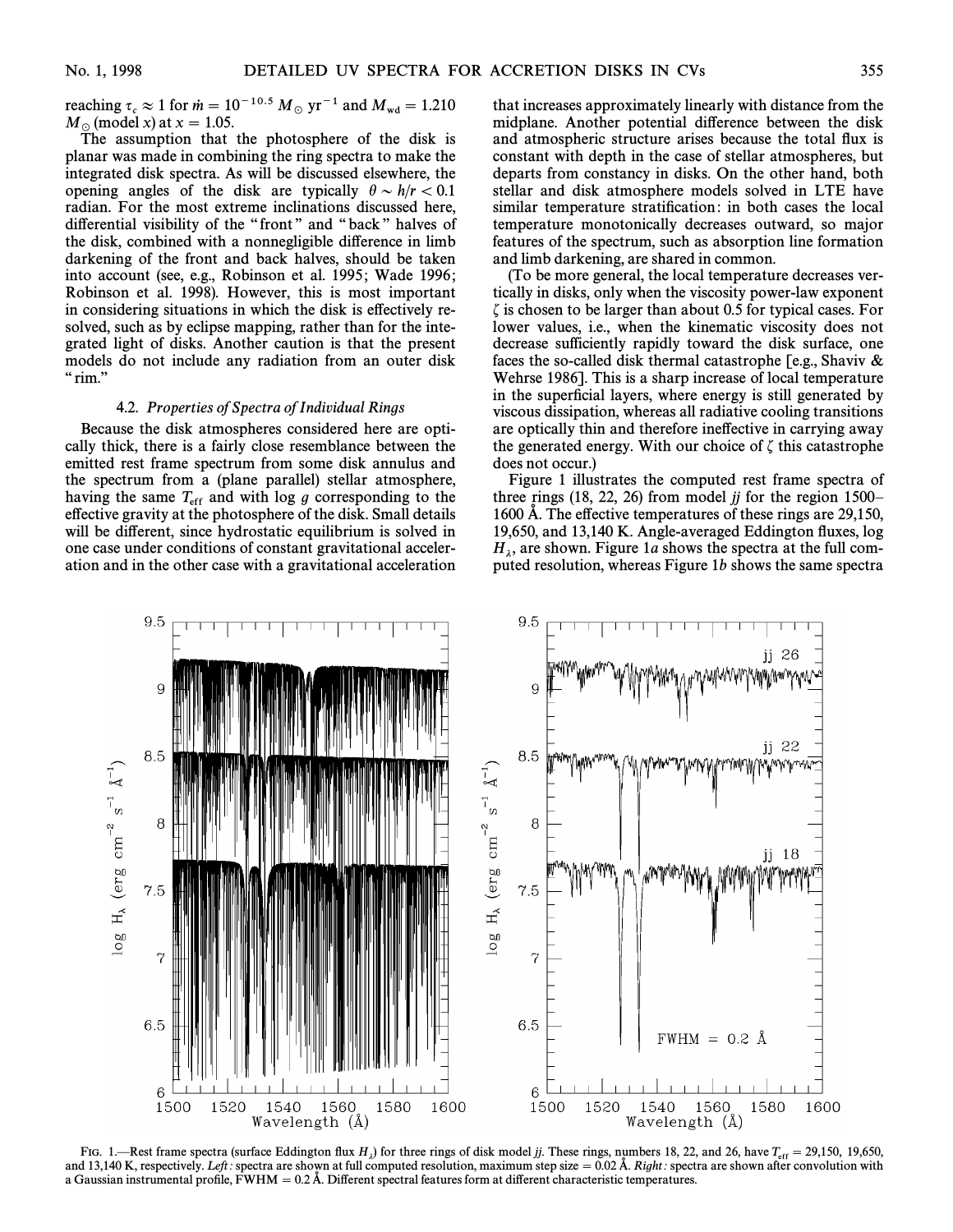reaching  $\tau_c \approx 1$  for  $\dot{m} = 10^{-10.5} M_{\odot}$  yr<sup>-1</sup> and  $M_{\text{wd}} = 1.210$ <br>M<sub>s</sub> (model x) at x = 1.05  $M_{\odot}$  (model x) at  $x = 1.05$ .

The assumption that the photosphere of the disk is planar was made in combining the ring spectra to make the integrated disk spectra. As will be discussed elsewhere, the opening angles of the disk are typically  $\theta \sim h/r < 0.1$ radian. For the most extreme inclinations discussed here, differential visibility of the "front" and "back" halves of the disk, combined with a nonnegligible di†erence in limb darkening of the front and back halves, should be taken into account (see, e.g., Robinson et al. 1995; Wade 1996; Robinson et al. 1998). However, this is most important in considering situations in which the disk is effectively resolved, such as by eclipse mapping, rather than for the integrated light of disks. Another caution is that the present models do not include any radiation from an outer disk  $"$ rim."

### 4.2. Properties of Spectra of Individual Rings

Because the disk atmospheres considered here are optically thick, there is a fairly close resemblance between the emitted rest frame spectrum from some disk annulus and the spectrum from a (plane parallel) stellar atmosphere, having the same  $T_{\text{eff}}$  and with log g corresponding to the effective gravity at the photosphere of the disk. Small details will be different, since hydrostatic equilibrium is solved in one case under conditions of constant gravitational acceleration and in the other case with a gravitational acceleration that increases approximately linearly with distance from the midplane. Another potential difference between the disk and atmospheric structure arises because the total Ñux is constant with depth in the case of stellar atmospheres, but departs from constancy in disks. On the other hand, both stellar and disk atmosphere models solved in LTE have similar temperature stratification: in both cases the local temperature monotonically decreases outward, so major features of the spectrum, such as absorption line formation and limb darkening, are shared in common.

(To be more general, the local temperature decreases vertically in disks, only when the viscosity power-law exponent  $\zeta$  is chosen to be larger than about 0.5 for typical cases. For lower values, i.e., when the kinematic viscosity does not decrease sufficiently rapidly toward the disk surface, one faces the so-called disk thermal catastrophe [e.g., Shaviv  $\&$ Wehrse 1986]. This is a sharp increase of local temperature in the superficial layers, where energy is still generated by viscous dissipation, whereas all radiative cooling transitions are optically thin and therefore ine†ective in carrying away the generated energy. With our choice of  $\zeta$  this catastrophe does not occur.)

Figure 1 illustrates the computed rest frame spectra of three rings  $(18, 22, 26)$  from model jj for the region 1500– 1600 Å. The effective temperatures of these rings are  $29,150$ , 19,650, and 13,140 K. Angle-averaged Eddington Ñuxes, log  $H_{\lambda}$ , are shown. Figure 1*a* shows the spectra at the full com-<br>puted resolution, whereas Figure 1*h* shows the same spectra puted resolution, whereas Figure  $1b$  shows the same spectra



FIG. 1.—Rest frame spectra (surface Eddington flux  $H_{\lambda}$ ) for three rings of disk model jj. These rings, numbers 18, 22, and 26, have  $T_{\text{eff}} = 29,150$ , 19,650,  $T_{\text{eff}} = 29,150$ , 19,650, if is pactra are shown at full and 13,140 K, respectively. Left: spectra are shown at full computed resolution, maximum step size  $= 0.02$  Å. Right: spectra are shown after convolution with a Gaussian instrumental profile, FWHM  $= 0.2$  Å. Different spectral features form at different characteristic temperatures.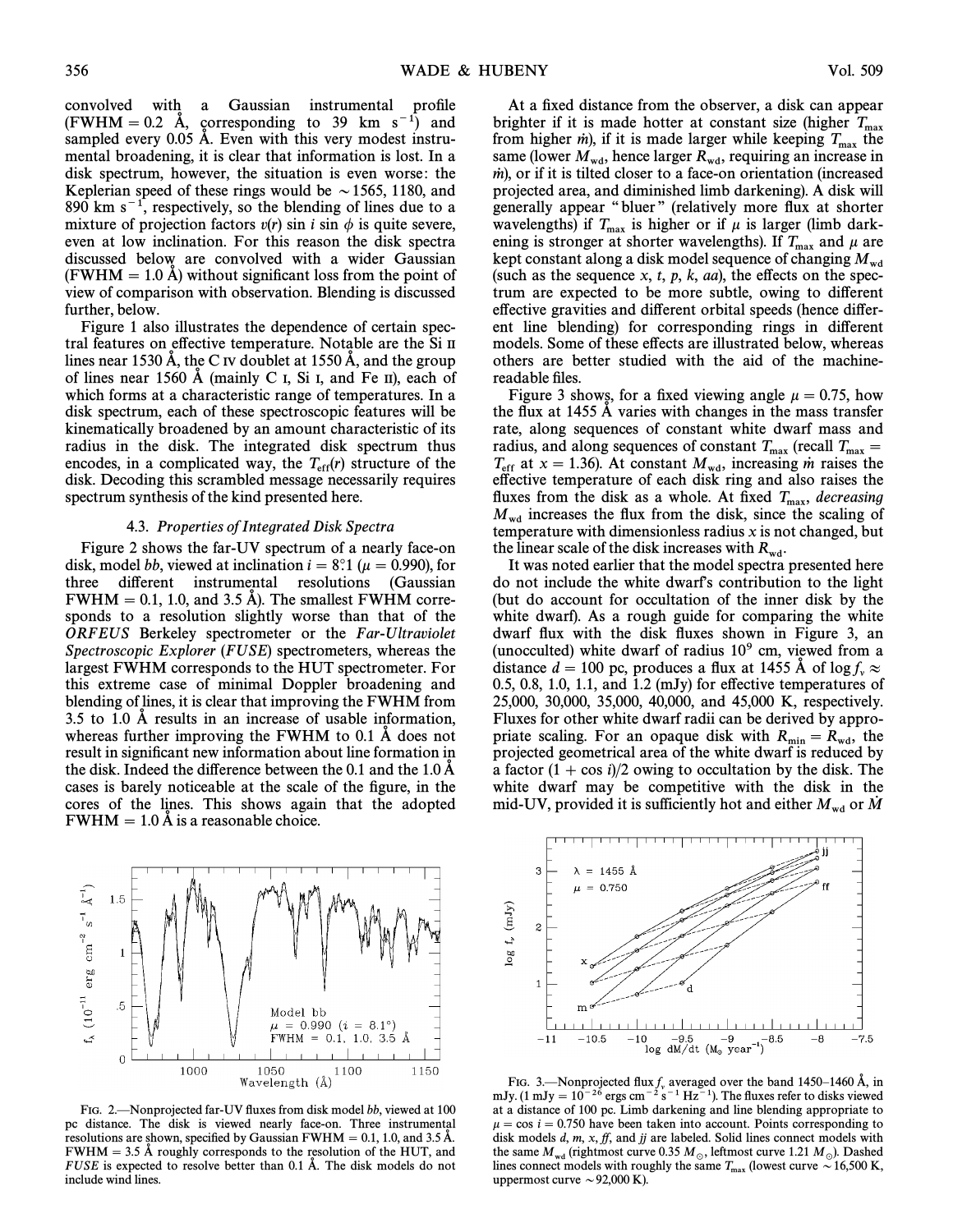convolved with a Gaussian instrumental profile  $(FWHM = 0.2$  Å, corresponding to 39 km s<sup>-1</sup>) and sampled every  $0.05$  Å. Even with this very modest instrumental broadening, it is clear that information is lost. In a disk spectrum, however, the situation is even worse: the Keplerian speed of these rings would be  $\sim$  1565, 1180, and 890 km  $s^{-1}$ , respectively, so the blending of lines due to a mixture of projection factors  $v(r)$  sin i sin  $\phi$  is quite severe, even at low inclination. For this reason the disk spectra discussed below are convolved with a wider Gaussian  $(FWHM = 1.0 \text{ Å})$  without significant loss from the point of view of comparison with observation. Blending is discussed further, below.

Figure 1 also illustrates the dependence of certain spectral features on effective temperature. Notable are the Si II lines near 1530 Å, the C IV doublet at 1550 Å, and the group of lines near 1560  $\AA$  (mainly C I, Si I, and Fe II), each of which forms at a characteristic range of temperatures. In a disk spectrum, each of these spectroscopic features will be kinematically broadened by an amount characteristic of its radius in the disk. The integrated disk spectrum thus encodes, in a complicated way, the  $T_{\text{eff}}(r)$  structure of the disk. Decoding this scrambled message necessarily requires disk. Decoding this scrambled message necessarily requires spectrum synthesis of the kind presented here.

#### 4.3. Properties of Integrated Disk Spectra

Figure 2 shows the far-UV spectrum of a nearly face-on disk, model bb, viewed at inclination  $i = 8^\circ$ .1 ( $\mu = 0.990$ ), for three different instrumental resolutions (Gaussian  $FWHM = 0.1, 1.0,$  and 3.5 Å). The smallest FWHM corresponds to a resolution slightly worse than that of the ORFEUS Berkeley spectrometer or the Far-Ultraviolet Spectroscopic Explorer (FUSE) spectrometers, whereas the largest FWHM corresponds to the HUT spectrometer. For this extreme case of minimal Doppler broadening and blending of lines, it is clear that improving the FWHM from 3.5 to 1.0  $\AA$  results in an increase of usable information, whereas further improving the FWHM to  $0.1 \text{ Å}$  does not result in significant new information about line formation in the disk. Indeed the difference between the  $0.1$  and the  $1.0 \text{ Å}$ cases is barely noticeable at the scale of the figure, in the cores of the lines. This shows again that the adopted  $FWHM = 1.0 \text{ Å}$  is a reasonable choice.



1050

Wavelength (Å)

Model bb

 $\mu = 0.990$   $(i = 8.1^{\circ})$ FWHM =  $0.1, 1.0, 3.5$  Å

1100

1150

At a fixed distance from the observer, a disk can appear brighter if it is made hotter at constant size (higher  $T_{\text{max}}$ ) from higher *in*), if it is made larger while keeping  $T_{\text{max}}$  the same (lower  $M_{\text{wd}}$ , hence larger  $R_{\text{wd}}$ , requiring an increase in  $m$ ), or if it is tilted closer to a face-on orientation (increased projected area, and diminished limb darkening). A disk will generally appear "bluer" (relatively more flux at shorter wavelengths) if  $T_{\text{max}}$  is higher or if  $\mu$  is larger (limb dark-<br>ening is stronger at shorter wavelengths). If  $T_{\text{max}}$  and  $\mu$  are<br>kept constant along a disk model sequence of changing  $M_{\text{wd}}$ <br>(such as the sequen trum are expected to be more subtle, owing to different effective gravities and different orbital speeds (hence different line blending) for corresponding rings in different models. Some of these effects are illustrated below, whereas others are better studied with the aid of the machinereadable files.

Figure 3 shows, for a fixed viewing angle  $\mu = 0.75$ , how the flux at 1455 A varies with changes in the mass transfer rate, along sequences of constant white dwarf mass and radius, and along sequences of constant  $T_{\text{max}}$  (recall  $T_{\text{max}} = T_{\text{out}} \times 1.36$ ). At constant M increasing in raises the  $T_{\rm eff}$  at x = 1.36). At constant  $M_{\rm wd}$ , increasing *in* raises the e†ective temperature of each disk ring and also raises the fluxes from the disk as a whole. At fixed  $T_{\text{max}}$ , decreasing  $M_{\text{wd}}$  increases the flux from the disk, since the scaling of temperature with dimensionless radius x is not changed, but the linear scale of the disk increases with  $R_{wd}$ .

It was noted earlier that the model spectra presented here do not include the white dwarf's contribution to the light (but do account for occultation of the inner disk by the white dwarf). As a rough guide for comparing the white dwarf flux with the disk fluxes shown in Figure 3, an (unocculted) white dwarf of radius  $10<sup>9</sup>$  cm, viewed from a distance  $d = 100$  pc, produces a flux at 1455 Å of log  $f_v \approx$ 0.5, 0.8, 1.0, 1.1, and 1.2 (mJy) for effective temperatures of 25,000, 30,000, 35,000, 40,000, and 45,000 K, respectively. Fluxes for other white dwarf radii can be derived by appropriate scaling. For an opaque disk with  $R_{\text{min}} = R_{\text{wd}}$ , the projected geometrical area of the white dwarf is reduced by a factor  $(1 + \cos i)/2$  owing to occultation by the disk. The white dwarf may be competitive with the disk in the mid-UV, provided it is sufficiently hot and either  $M_{\text{wd}}$  or M





 $\frac{1}{2}$ 

erg cm

 $(10^{-11}$ 

.5

 $\boldsymbol{0}$ 

1000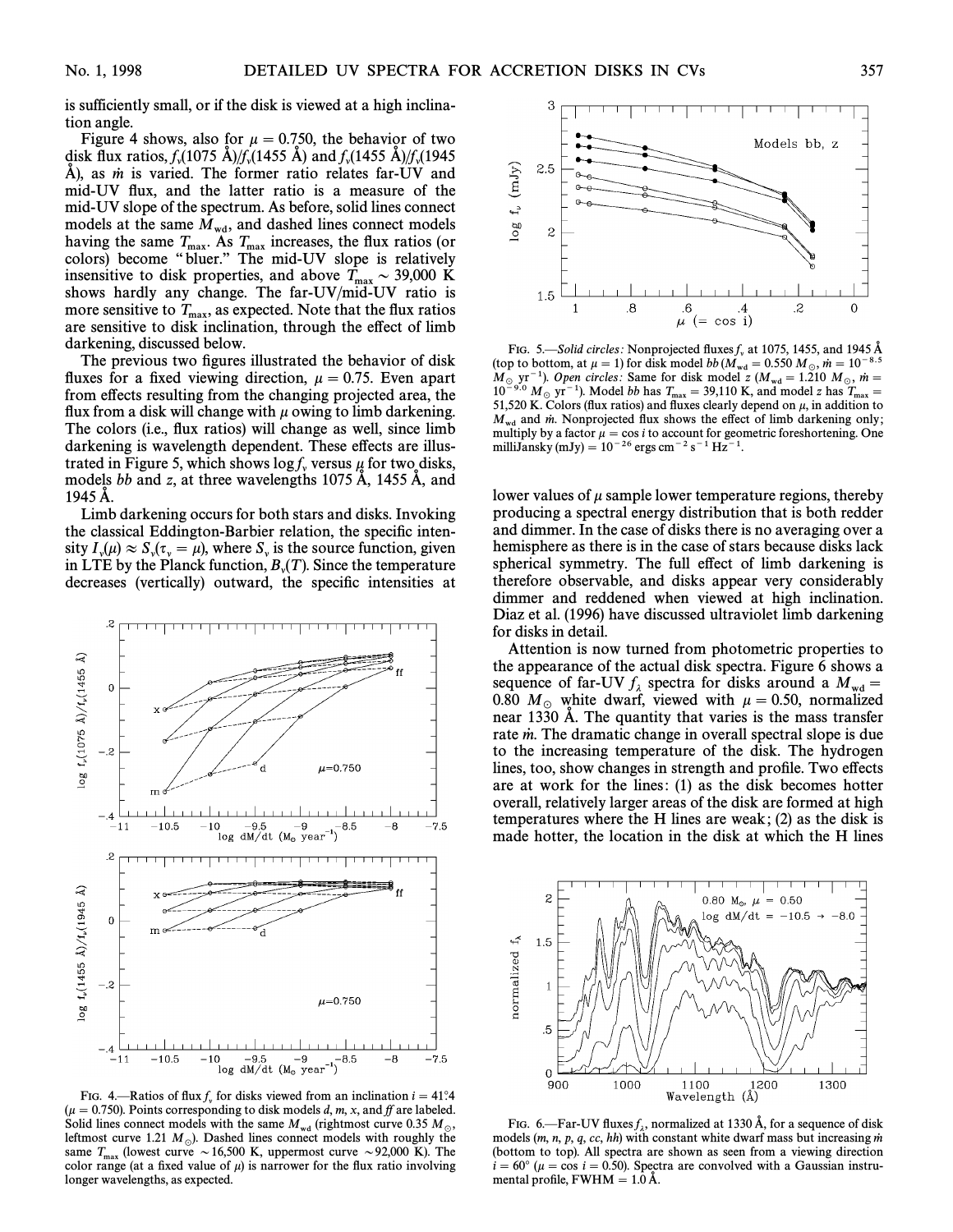is sufficiently small, or if the disk is viewed at a high inclination angle.

Figure 4 shows, also for  $\mu = 0.750$ , the behavior of two disk flux ratios,  $f_v(1075 \text{ \AA})/f_v(1455 \text{ \AA})$  and  $f_v(1455 \text{ \AA})/f_v(1945 \text{ \AA})$ A), as *in* is varied. The former ratio relates far-UV and  $\lambda$ ), as *in* is varied. The former ratio relates far-UV mid-UV Ñux, and the latter ratio is a measure of the mid-UV slope of the spectrum. As before, solid lines connect models at the same  $M_{\text{wd}}$ , and dashed lines connect models having the same  $T_{\text{max}}$ . As  $T_{\text{max}}$  increases, the flux ratios (or colors) become "bluer." The mid-UV slope is relatively insensitive to disk properties, and above  $T_{\text{max}} \sim 39,000$  K<br>shows hardly any change. The far-UV/mid-UV ratio is shows hardly any change. The far-UV/mid-UV ratio is more sensitive to  $T_{\text{max}}$ , as expected. Note that the flux ratios  $T_{\text{max}}$  is disk inclination, through the effect of limb are sensitive to disk inclination, through the effect of limb darkening, discussed below.

The previous two figures illustrated the behavior of disk fluxes for a fixed viewing direction,  $\mu = 0.75$ . Even apart from effects resulting from the changing projected area, the flux from a disk will change with  $\mu$  owing to limb darkening. The colors (i.e., flux ratios) will change as well, since limb darkening is wavelength dependent. These effects are illustrated in Figure 5, which shows log f<sub>y</sub> versus  $\mu$  for two disks, models bb and z, at three wavelengths 1075 Å, 1455 Å, and 1945 A.

Limb darkening occurs for both stars and disks. Invoking the classical Eddington-Barbier relation, the specific intensity  $I_{\nu}(\mu) \approx S_{\nu}(\tau_{\nu} = \mu)$ , where  $S_{\nu}$  is the source function, given  $\text{LTE by the Planck function, B, C. Since the temperature of the temperature.}$ <br>decreases (vertically) outward the specific intensities at decreases (vertically) outward, the specific intensities at



FIG. 4.—Ratios of flux  $f_y$  for disks viewed from an inclination  $i = 41^{\circ}4$ <br>= 0.750). Points corresponding to disk models d m x and ff are labeled  $(\mu = 0.750)$ . Points corresponding to disk models d, m, x, and ff are labeled. Solid lines connect models with the same  $M_{\rm wd}$  (rightmost curve 0.35  $M_{\odot}$ , leftmost curve 1.21  $M_{\odot}$ ). Dashed lines connect models with roughly the same  $T_{\text{max}}$  (lowest curve  $\sim 16,500$  K, uppermost curve  $\sim 92,000$  K). The color range (at a fixed value of  $\mu$ ) is narrower for the flux ratio involving longer wavelengths, as expected.



FIG. 5.—Solid circles: Nonprojected fluxes  $f<sub>v</sub>$  at 1075, 1455, and 1945 Å unity at 1075, 1455, and 1945 Å (top to bottom, at  $\mu = 1$ ) for disk model bb  $(M_{wd} = 0.550 M_\odot, \dot{m} = 10^{-8.5}$ <br>M<sub>u</sub> wr<sup>-1</sup>) Onen civeles: Same for disk model z (M<sub>u</sub> - 1.210 M<sub>u</sub> mu - $M_\odot$  yr<sup>-1</sup>). Open circles: Same for disk model z  $(M_{wd} = 1.210 M_\odot, m = 10^{-9.0} M_\odot$  yr<sup>-1</sup>). Model this  $T_{\odot} = 30.110 K$  and model z has  $T_{\odot} = 10^{-9.0} M_\odot$  $10^{-9.0}$  M<sub>o</sub> yr<sup>-1</sup>). Model bb has  $T_{\text{max}} = 39,110$  K, and model z has  $T_{\text{max}} = 51,520$  K, Colors (flux ratios) and fluxes clearly depend on u in addition to 51,520 K. Colors (flux ratios) and fluxes clearly depend on  $\mu$ , in addition to  $M_{\rm wd}$  and m. Nonprojected flux shows the effect of limb darkening only; multiply by a factor  $\mu = \cos i$  to account for geometric foreshortening. One milliJansky (mJy) =  $10^{-26}$  ergs cm<sup>-2</sup> s<sup>-1</sup> Hz<sup>-1</sup>.

lower values of  $\mu$  sample lower temperature regions, thereby producing a spectral energy distribution that is both redder and dimmer. In the case of disks there is no averaging over a hemisphere as there is in the case of stars because disks lack spherical symmetry. The full effect of limb darkening is therefore observable, and disks appear very considerably dimmer and reddened when viewed at high inclination. Diaz et al. (1996) have discussed ultraviolet limb darkening for disks in detail.

Attention is now turned from photometric properties to the appearance of the actual disk spectra. Figure 6 shows a sequence of far-UV  $f_{\lambda}$  spectra for disks around a  $M_{\text{wd}} = 0.80 M_{\text{w}}$  white dwarf viewed with  $\mu = 0.50$  normalized 0.80  $M_{\odot}$  white dwarf, viewed with  $\mu = 0.50$ , normalized near 1330 Å. The quantity that varies is the mass transfer near 1330 Å. The quantity that varies is the mass transfer rate *in*. The dramatic change in overall spectral slope is due to the increasing temperature of the disk. The hydrogen lines, too, show changes in strength and profile. Two effects are at work for the lines: (1) as the disk becomes hotter overall, relatively larger areas of the disk are formed at high temperatures where the H lines are weak; (2) as the disk is made hotter, the location in the disk at which the H lines



FIG. 6.—Far-UV fluxes  $f_{\lambda}$ , normalized at 1330 Å, for a sequence of disk models  $(m, n, p, q, cc, hh)$  with constant white dwarf mass but increasing *m* (bottom to top). All spectra are shown as seen from a viewing direction  $i = 60°$  ( $\mu = \cos i = 0.50$ ). Spectra are convolved with a Gaussian instrumental profile, FWHM  $= 1.0 \text{ Å}$ .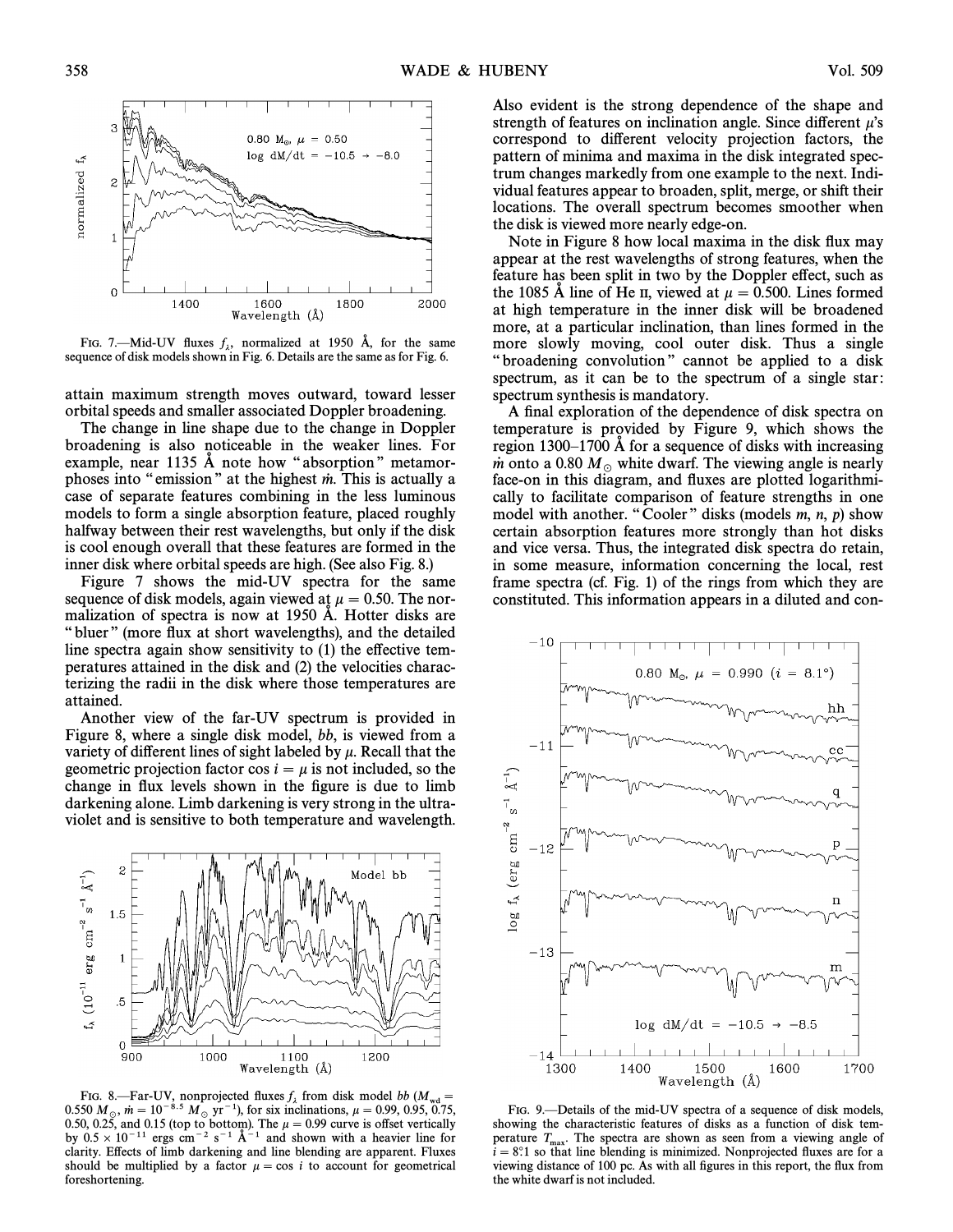

FIG. 7.—Mid-UV fluxes  $f_{\lambda}$ , normalized at 1950 Å, for the same sequence of disk models shown in Fig. 6. Details are the same as for Fig. 6.

attain maximum strength moves outward, toward lesser orbital speeds and smaller associated Doppler broadening.

The change in line shape due to the change in Doppler broadening is also noticeable in the weaker lines. For example, near 1135  $\AA$  note how "absorption" metamorphoses into "emission" at the highest  $\dot{m}$ . This is actually a case of separate features combining in the less luminous models to form a single absorption feature, placed roughly halfway between their rest wavelengths, but only if the disk is cool enough overall that these features are formed in the inner disk where orbital speeds are high. (See also Fig. 8.)

Figure 7 shows the mid-UV spectra for the same sequence of disk models, again viewed at  $\mu = 0.50$ . The normalization of spectra is now at 1950 Å. Hotter disks are "bluer" (more flux at short wavelengths), and the detailed line spectra again show sensitivity to  $(1)$  the effective temperatures attained in the disk and (2) the velocities characterizing the radii in the disk where those temperatures are attained.

Another view of the far-UV spectrum is provided in Figure 8, where a single disk model, bb, is viewed from a variety of different lines of sight labeled by  $\mu$ . Recall that the geometric projection factor cos  $i = \mu$  is not included, so the change in flux levels shown in the figure is due to limb darkening alone. Limb darkening is very strong in the ultraviolet and is sensitive to both temperature and wavelength.



FIG. 8.—Far-UV, nonprojected fluxes  $f_{\lambda}$  from disk model bb  $(M_{\text{wd}} = 0.550 M_{\odot}$ ,  $\dot{m} = 10^{-8.5} M_{\odot}$  yr<sup>-1</sup>), for six inclinations,  $\mu = 0.99, 0.95, 0.75$ , 0.550  $M_{\odot}$ ,  $\dot{m} = 10^{-8.5} M_{\odot}$  yr<sup>-1</sup>), for six inclinations,  $\mu = 0.99, 0.95, 0.75, 0.50, 0.25$ , and 0.15 (top to bottom). The  $\mu = 0.99$  curve is offset vertically by  $0.5 \times 10^{-11}$  ergs cm<sup>-2</sup> s<sup>-1</sup> A<sup>-1</sup> and shown with a heavier line for clarity. Effects of limb darkening and line blending are apparent. Fluxes should be multiplied by a factor  $\mu = \cos i$  to account for geometrical foreshortening.

Also evident is the strong dependence of the shape and strength of features on inclination angle. Since different  $\mu$ 's correspond to different velocity projection factors, the pattern of minima and maxima in the disk integrated spectrum changes markedly from one example to the next. Individual features appear to broaden, split, merge, or shift their locations. The overall spectrum becomes smoother when the disk is viewed more nearly edge-on.

Note in Figure 8 how local maxima in the disk flux may appear at the rest wavelengths of strong features, when the feature has been split in two by the Doppler effect, such as the 1085 Å line of He II, viewed at  $\mu = 0.500$ . Lines formed at high temperature in the inner disk will be broadened more, at a particular inclination, than lines formed in the more slowly moving, cool outer disk. Thus a single "broadening convolution" cannot be applied to a disk spectrum, as it can be to the spectrum of a single star: spectrum synthesis is mandatory.

A final exploration of the dependence of disk spectra on temperature is provided by Figure 9, which shows the region  $1300-1700$  Å for a sequence of disks with increasing m onto a 0.80  $M_\odot$  white dwarf. The viewing angle is nearly face-on in this diagram, and fluxes are plotted logarithmically to facilitate comparison of feature strengths in one model with another. "Cooler" disks (models  $m$ ,  $n$ ,  $p$ ) show certain absorption features more strongly than hot disks and vice versa. Thus, the integrated disk spectra do retain, in some measure, information concerning the local, rest frame spectra (cf. Fig. 1) of the rings from which they are constituted. This information appears in a diluted and con-



FIG. 9. - Details of the mid-UV spectra of a sequence of disk models, showing the characteristic features of disks as a function of disk temperature  $T_{\text{max}}$ . The spectra are shown as seen from a viewing angle of  $i = 8^\circ 1$  so that line blending is minimized. Nonprojected fluxes are for a  $i = 8$ °.1 so that line blending is minimized. Nonprojected fluxes are for a viewing distance of 100 pc. As with all figures in this report, the flux from the white dwarf is not included.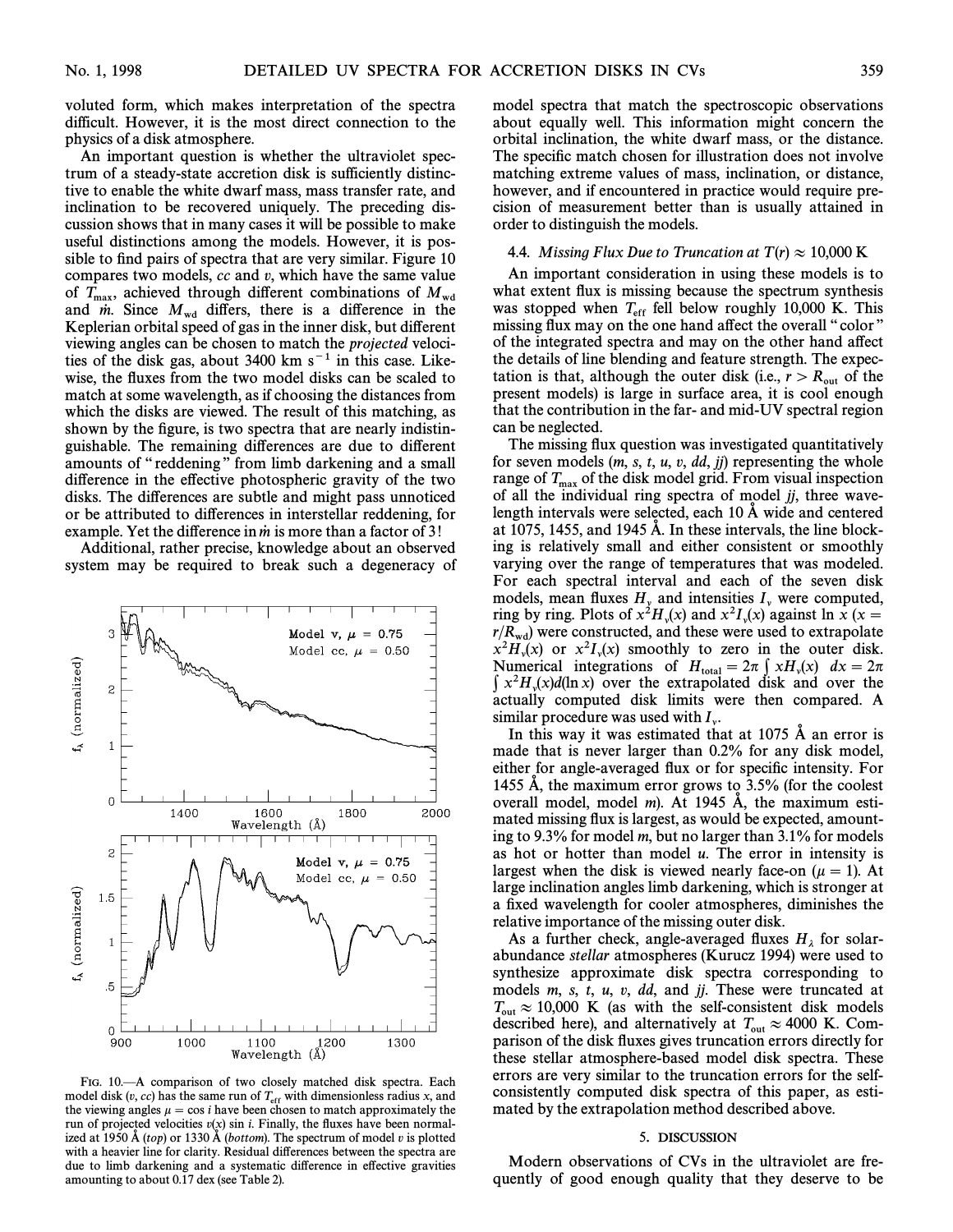voluted form, which makes interpretation of the spectra difficult. However, it is the most direct connection to the physics of a disk atmosphere.

An important question is whether the ultraviolet spectrum of a steady-state accretion disk is sufficiently distinctive to enable the white dwarf mass, mass transfer rate, and inclination to be recovered uniquely. The preceding discussion shows that in many cases it will be possible to make useful distinctions among the models. However, it is possible to find pairs of spectra that are very similar. Figure 10 compares two models,  $cc$  and  $v$ , which have the same value of  $T_{\text{max}}$ , achieved through different combinations of  $M_{\text{wd}}$ and  $\dot{m}$ . Since  $M_{\text{wd}}$  differs, there is a difference in the Keplerian orbital speed of gas in the inner disk, but different viewing angles can be chosen to match the projected velocities of the disk gas, about 3400 km  $s^{-1}$  in this case. Likewise, the fluxes from the two model disks can be scaled to match at some wavelength, as if choosing the distances from which the disks are viewed. The result of this matching, as shown by the figure, is two spectra that are nearly indistinguishable. The remaining differences are due to different amounts of "reddening" from limb darkening and a small difference in the effective photospheric gravity of the two disks. The differences are subtle and might pass unnoticed or be attributed to differences in interstellar reddening, for example. Yet the difference in  $\dot{m}$  is more than a factor of 3!

Additional, rather precise, knowledge about an observed system may be required to break such a degeneracy of



FIG. 10.<sup> $-$ </sup>A comparison of two closely matched disk spectra. Each model disk  $(v, cc)$  has the same run of  $T_{\text{eff}}$  with dimensionless radius x, and the viewing angles  $\mu = \cos i$  have been chosen to match approximately the run of projected velocities  $v(x)$  sin *i*. Finally, the fluxes have been normalized at 1950 Å (top) or 1330 Å (bottom). The spectrum of model v is plotted with a heavier line for clarity. Residual differences between the spectra are due to limb darkening and a systematic difference in effective gravities amounting to about 0.17 dex (see Table 2).

model spectra that match the spectroscopic observations about equally well. This information might concern the orbital inclination, the white dwarf mass, or the distance. The specific match chosen for illustration does not involve matching extreme values of mass, inclination, or distance, however, and if encountered in practice would require precision of measurement better than is usually attained in order to distinguish the models.

#### 4.4. Missing Flux Due to Truncation at  $T(r) \approx 10,000$  K

An important consideration in using these models is to what extent flux is missing because the spectrum synthesis was stopped when  $T_{\text{eff}}$  fell below roughly 10,000 K. This missing flux may on the one hand affect the overall "color" of the integrated spectra and may on the other hand a†ect the details of line blending and feature strength. The expectation is that, although the outer disk (i.e.,  $r > R_{out}$  of the present models) is large in surface area, it is cool enough that the contribution in the far- and mid-UV spectral region can be neglected.

The missing flux question was investigated quantitatively for seven models  $(m, s, t, u, v, dd, jj)$  representing the whole range of  $T_{\text{max}}$  of the disk model grid. From visual inspection of all the individual ring spectra of model  $jj$ , three wavelength intervals were selected, each  $10 \text{ Å}$  wide and centered at 1075, 1455, and 1945  $\AA$ . In these intervals, the line blocking is relatively small and either consistent or smoothly varying over the range of temperatures that was modeled. For each spectral interval and each of the seven disk models, mean fluxes  $H_y$  and intensities  $I_y$  were computed,<br>ring by ring. Plots of  $x^2 H_y(x)$  and  $x^2 I_y(x)$  against  $\ln x$  ( $x =$ <br> $x/R$ ) were constructed and these were used to extrapolate  $r/R_{\text{wd}}$  were constructed, and these were used to extrapolate<br> $r/R_{\text{wd}}$  were constructed, and these were used to extrapolate  $x^2H_v(x)$  or  $x^2I_v(x)$  smoothly to zero in the outer disk.<br>Numerical integrations of  $H = 2\pi \int xH(v) dv = 2\pi$ Numerical integrations of H<sub>004</sub> = 2n  $\int xH_y(x) dx = 2\pi$ <br>
Numerical integrations of H<sub>004</sub> = 2n  $\int xH_y(x) dx = 2\pi$  $\int x^2 H_y(x) d(\ln x)$  over the extrapolated disk and over the extrapolated disk and over the local disk limits were then compared. actually computed disk limits were then compared. A similar procedure was used with  $I_{\nu}$ .

In this way it was estimated that at 1075  $\AA$  an error is made that is never larger than 0.2% for any disk model, either for angle-averaged flux or for specific intensity. For 1455  $\AA$ , the maximum error grows to 3.5% (for the coolest overall model, model  $m$ ). At 1945  $\AA$ , the maximum estimated missing flux is largest, as would be expected, amounting to 9.3% for model m, but no larger than 3.1% for models as hot or hotter than model  $u$ . The error in intensity is largest when the disk is viewed nearly face-on ( $\mu = 1$ ). At large inclination angles limb darkening, which is stronger at a fixed wavelength for cooler atmospheres, diminishes the relative importance of the missing outer disk.

As a further check, angle-averaged fluxes  $H_{\lambda}$  for solar-<br>abundance *stellar* atmospheres (Kurucz 1994) were used to synthesize approximate disk spectra corresponding to models m, s, t, u, v, dd, and jj. These were truncated at  $T_{\text{out}} \approx 10,000$  K (as with the self-consistent disk models described here), and alternatively at  $T_{\text{out}} \approx 4000$  K. Com-<br>parison of the disk fluxes gives truncation errors directly for parison of the disk Ñuxes gives truncation errors directly for these stellar atmosphere-based model disk spectra. These errors are very similar to the truncation errors for the selfconsistently computed disk spectra of this paper, as estimated by the extrapolation method described above.

## 5. DISCUSSION

Modern observations of CVs in the ultraviolet are frequently of good enough quality that they deserve to be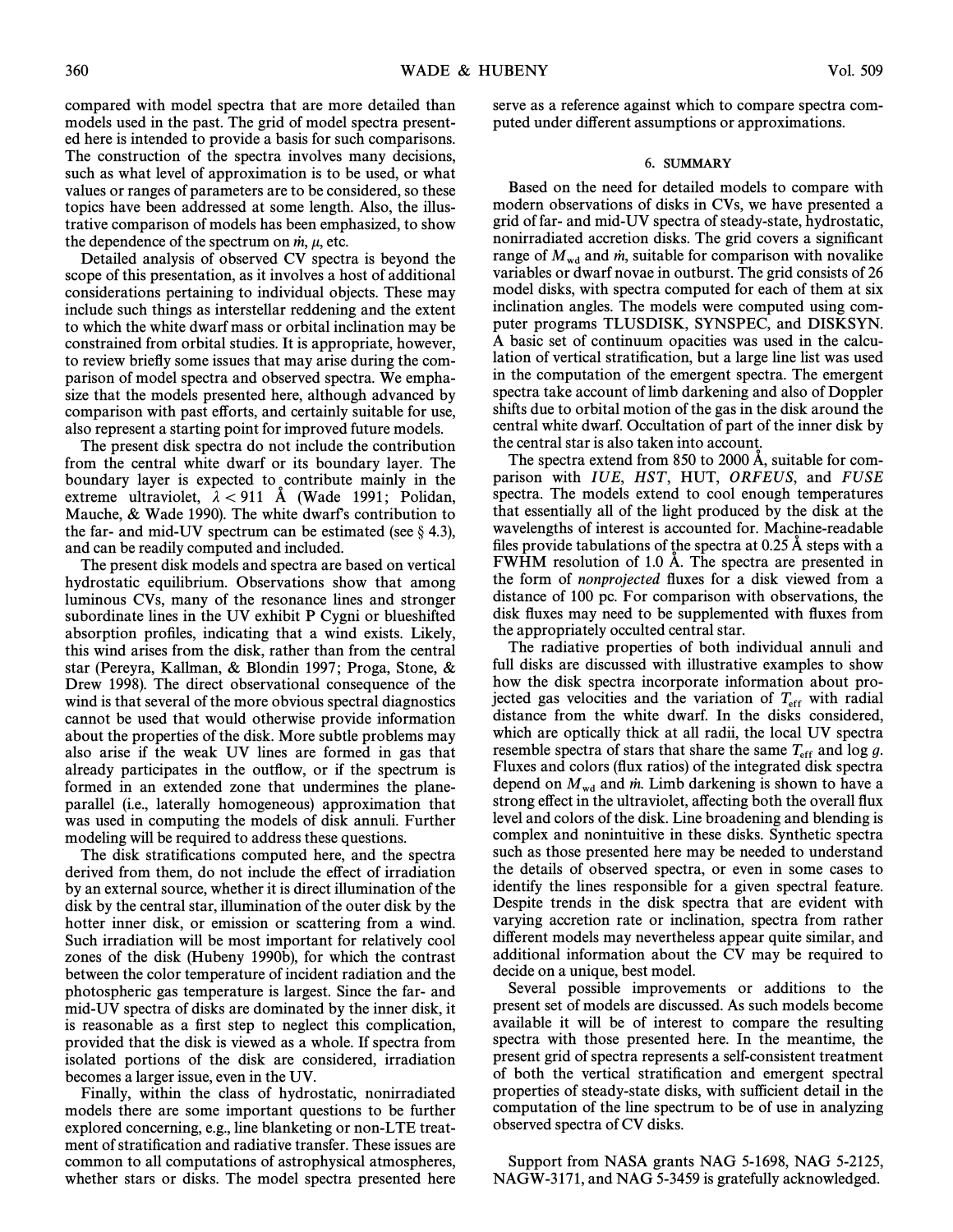compared with model spectra that are more detailed than models used in the past. The grid of model spectra presented here is intended to provide a basis for such comparisons. The construction of the spectra involves many decisions, such as what level of approximation is to be used, or what values or ranges of parameters are to be considered, so these topics have been addressed at some length. Also, the illustrative comparison of models has been emphasized, to show the dependence of the spectrum on  $\dot{m}$ ,  $\mu$ , etc.

Detailed analysis of observed CV spectra is beyond the scope of this presentation, as it involves a host of additional considerations pertaining to individual objects. These may include such things as interstellar reddening and the extent to which the white dwarf mass or orbital inclination may be constrained from orbital studies. It is appropriate, however, to review brieÑy some issues that may arise during the comparison of model spectra and observed spectra. We emphasize that the models presented here, although advanced by comparison with past efforts, and certainly suitable for use, also represent a starting point for improved future models.

The present disk spectra do not include the contribution from the central white dwarf or its boundary layer. The boundary layer is expected to contribute mainly in the extreme ultraviolet,  $\lambda$  < 911 Å (Wade 1991; Polidan, Mauche,  $&$  Wade 1990). The white dwarf's contribution to the far- and mid-UV spectrum can be estimated (see  $\S$  4.3), and can be readily computed and included.

The present disk models and spectra are based on vertical hydrostatic equilibrium. Observations show that among luminous CVs, many of the resonance lines and stronger subordinate lines in the UV exhibit P Cygni or blueshifted absorption profiles, indicating that a wind exists. Likely, this wind arises from the disk, rather than from the central star (Pereyra, Kallman, & Blondin 1997; Proga, Stone, & Drew 1998). The direct observational consequence of the wind is that several of the more obvious spectral diagnostics cannot be used that would otherwise provide information about the properties of the disk. More subtle problems may also arise if the weak UV lines are formed in gas that already participates in the outflow, or if the spectrum is formed in an extended zone that undermines the planeparallel (i.e., laterally homogeneous) approximation that was used in computing the models of disk annuli. Further modeling will be required to address these questions.

The disk stratifications computed here, and the spectra derived from them, do not include the effect of irradiation by an external source, whether it is direct illumination of the disk by the central star, illumination of the outer disk by the hotter inner disk, or emission or scattering from a wind. Such irradiation will be most important for relatively cool zones of the disk (Hubeny 1990b), for which the contrast between the color temperature of incident radiation and the photospheric gas temperature is largest. Since the far- and mid-UV spectra of disks are dominated by the inner disk, it is reasonable as a first step to neglect this complication, provided that the disk is viewed as a whole. If spectra from isolated portions of the disk are considered, irradiation becomes a larger issue, even in the UV.

Finally, within the class of hydrostatic, nonirradiated models there are some important questions to be further explored concerning, e.g., line blanketing or non-LTE treatment of stratification and radiative transfer. These issues are common to all computations of astrophysical atmospheres, whether stars or disks. The model spectra presented here serve as a reference against which to compare spectra computed under di†erent assumptions or approximations.

## 6. SUMMARY

Based on the need for detailed models to compare with modern observations of disks in CVs, we have presented a grid of far- and mid-UV spectra of steady-state, hydrostatic, nonirradiated accretion disks. The grid covers a significant range of  $M_{\text{wd}}$  and m, suitable for comparison with novalike variables or dwarf novae in outburst. The grid consists of 26 model disks, with spectra computed for each of them at six inclination angles. The models were computed using computer programs TLUSDISK, SYNSPEC, and DISKSYN. A basic set of continuum opacities was used in the calculation of vertical stratification, but a large line list was used in the computation of the emergent spectra. The emergent spectra take account of limb darkening and also of Doppler shifts due to orbital motion of the gas in the disk around the central white dwarf. Occultation of part of the inner disk by the central star is also taken into account.

The spectra extend from  $850$  to  $2000$  Å, suitable for comparison with IUE, HST, HUT, ORFEUS, and FUSE spectra. The models extend to cool enough temperatures that essentially all of the light produced by the disk at the wavelengths of interest is accounted for. Machine-readable files provide tabulations of the spectra at  $0.25 \text{ Å}$  steps with a FWHM resolution of 1.0 Å. The spectra are presented in the form of *nonprojected* fluxes for a disk viewed from a distance of 100 pc. For comparison with observations, the disk fluxes may need to be supplemented with fluxes from the appropriately occulted central star.

The radiative properties of both individual annuli and full disks are discussed with illustrative examples to show how the disk spectra incorporate information about projected gas velocities and the variation of  $T_{\text{eff}}$  with radial distance from the white dwarf. In the disks considered, which are optically thick at all radii, the local UV spectra resemble spectra of stars that share the same  $T_{\text{eff}}$  and log g. Fluxes and colors (flux ratios) of the integrated disk spectra depend on  $M_{\text{wd}}$  and *m*. Limb darkening is shown to have a strong effect in the ultraviolet, affecting both the overall flux level and colors of the disk. Line broadening and blending is complex and nonintuitive in these disks. Synthetic spectra such as those presented here may be needed to understand the details of observed spectra, or even in some cases to identify the lines responsible for a given spectral feature. Despite trends in the disk spectra that are evident with varying accretion rate or inclination, spectra from rather different models may nevertheless appear quite similar, and additional information about the CV may be required to decide on a unique, best model.

Several possible improvements or additions to the present set of models are discussed. As such models become available it will be of interest to compare the resulting spectra with those presented here. In the meantime, the present grid of spectra represents a self-consistent treatment of both the vertical stratification and emergent spectral properties of steady-state disks, with sufficient detail in the computation of the line spectrum to be of use in analyzing observed spectra of CV disks.

Support from NASA grants NAG 5-1698, NAG 5-2125, NAGW-3171, and NAG 5-3459 is gratefully acknowledged.